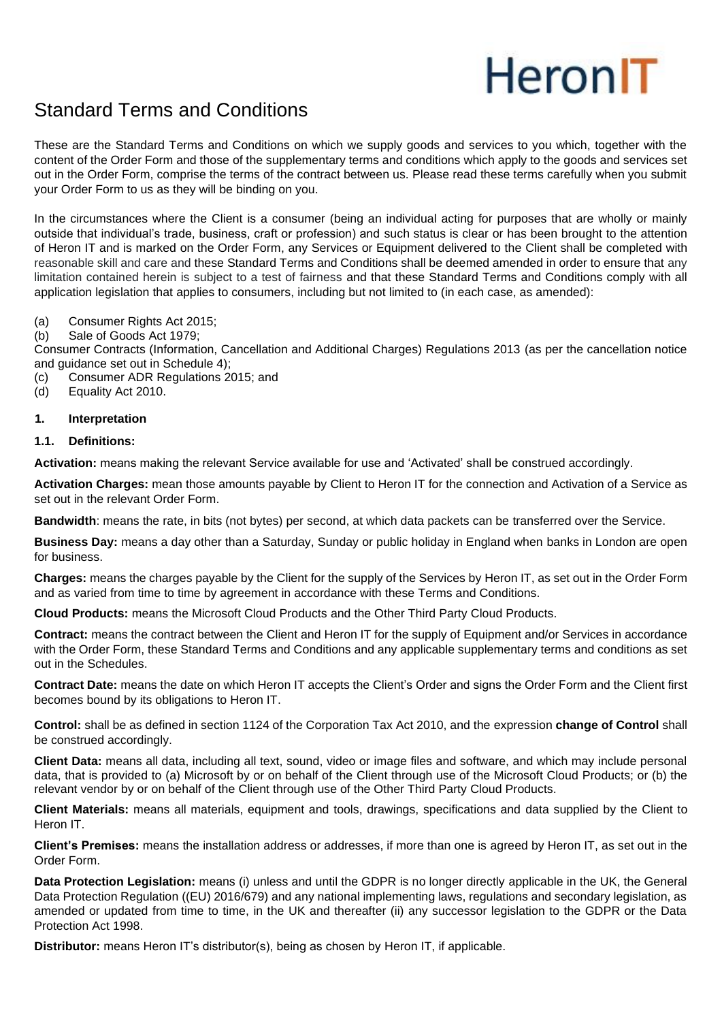# Heron<sub>IT</sub>

## Standard Terms and Conditions

These are the Standard Terms and Conditions on which we supply goods and services to you which, together with the content of the Order Form and those of the supplementary terms and conditions which apply to the goods and services set out in the Order Form, comprise the terms of the contract between us. Please read these terms carefully when you submit your Order Form to us as they will be binding on you.

In the circumstances where the Client is a consumer (being an individual acting for purposes that are wholly or mainly outside that individual's trade, business, craft or profession) and such status is clear or has been brought to the attention of Heron IT and is marked on the Order Form, any Services or Equipment delivered to the Client shall be completed with reasonable skill and care and these Standard Terms and Conditions shall be deemed amended in order to ensure that any limitation contained herein is subject to a test of fairness and that these Standard Terms and Conditions comply with all application legislation that applies to consumers, including but not limited to (in each case, as amended):

- (a) Consumer Rights Act 2015;
- (b) Sale of Goods Act 1979;

Consumer Contracts (Information, Cancellation and Additional Charges) Regulations 2013 (as per the cancellation notice and guidance set out in Schedule 4);

- (c) Consumer ADR Regulations 2015; and
- (d) Equality Act 2010.

#### **1. Interpretation**

#### **1.1. Definitions:**

**Activation:** means making the relevant Service available for use and 'Activated' shall be construed accordingly.

**Activation Charges:** mean those amounts payable by Client to Heron IT for the connection and Activation of a Service as set out in the relevant Order Form.

**Bandwidth**: means the rate, in bits (not bytes) per second, at which data packets can be transferred over the Service.

**Business Day:** means a day other than a Saturday, Sunday or public holiday in England when banks in London are open for business.

**Charges:** means the charges payable by the Client for the supply of the Services by Heron IT, as set out in the Order Form and as varied from time to time by agreement in accordance with these Terms and Conditions.

**Cloud Products:** means the Microsoft Cloud Products and the Other Third Party Cloud Products.

**Contract:** means the contract between the Client and Heron IT for the supply of Equipment and/or Services in accordance with the Order Form, these Standard Terms and Conditions and any applicable supplementary terms and conditions as set out in the Schedules.

**Contract Date:** means the date on which Heron IT accepts the Client's Order and signs the Order Form and the Client first becomes bound by its obligations to Heron IT.

**Control:** shall be as defined in section 1124 of the Corporation Tax Act 2010, and the expression **change of Control** shall be construed accordingly.

**Client Data:** means all data, including all text, sound, video or image files and software, and which may include personal data, that is provided to (a) Microsoft by or on behalf of the Client through use of the Microsoft Cloud Products; or (b) the relevant vendor by or on behalf of the Client through use of the Other Third Party Cloud Products.

**Client Materials:** means all materials, equipment and tools, drawings, specifications and data supplied by the Client to Heron IT.

**Client's Premises:** means the installation address or addresses, if more than one is agreed by Heron IT, as set out in the Order Form.

**Data Protection Legislation:** means (i) unless and until the GDPR is no longer directly applicable in the UK, the General Data Protection Regulation ((EU) 2016/679) and any national implementing laws, regulations and secondary legislation, as amended or updated from time to time, in the UK and thereafter (ii) any successor legislation to the GDPR or the Data Protection Act 1998.

**Distributor:** means Heron IT's distributor(s), being as chosen by Heron IT, if applicable.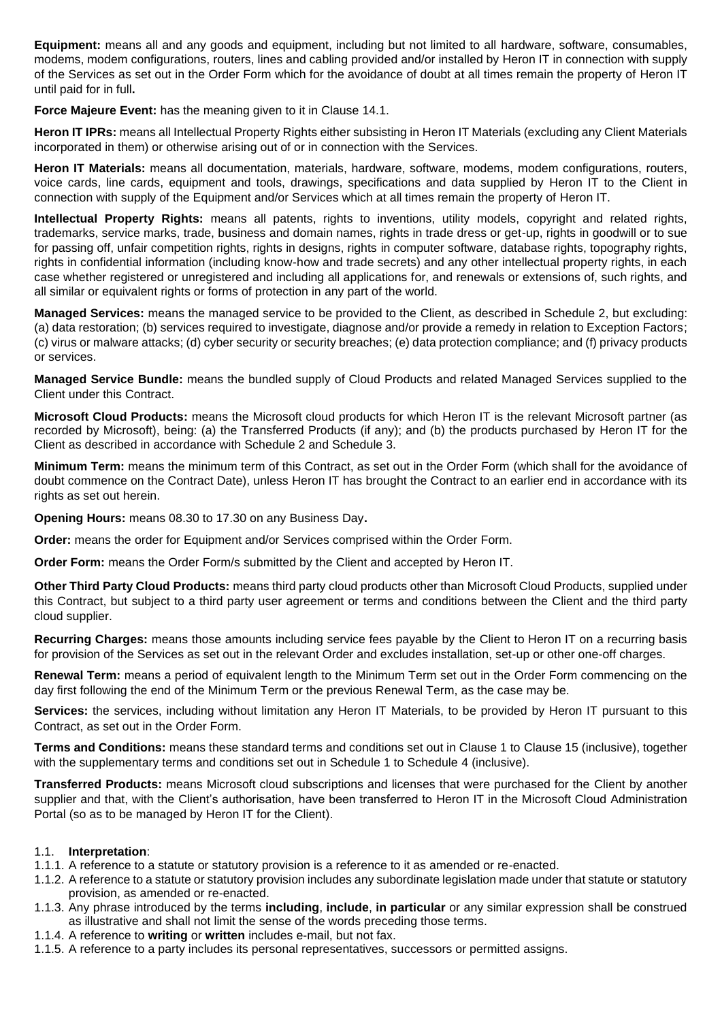**Equipment:** means all and any goods and equipment, including but not limited to all hardware, software, consumables, modems, modem configurations, routers, lines and cabling provided and/or installed by Heron IT in connection with supply of the Services as set out in the Order Form which for the avoidance of doubt at all times remain the property of Heron IT until paid for in full**.**

**Force Majeure Event:** has the meaning given to it in Clause 14.1.

**Heron IT IPRs:** means all Intellectual Property Rights either subsisting in Heron IT Materials (excluding any Client Materials incorporated in them) or otherwise arising out of or in connection with the Services.

**Heron IT Materials:** means all documentation, materials, hardware, software, modems, modem configurations, routers, voice cards, line cards, equipment and tools, drawings, specifications and data supplied by Heron IT to the Client in connection with supply of the Equipment and/or Services which at all times remain the property of Heron IT.

**Intellectual Property Rights:** means all patents, rights to inventions, utility models, copyright and related rights, trademarks, service marks, trade, business and domain names, rights in trade dress or get-up, rights in goodwill or to sue for passing off, unfair competition rights, rights in designs, rights in computer software, database rights, topography rights, rights in confidential information (including know-how and trade secrets) and any other intellectual property rights, in each case whether registered or unregistered and including all applications for, and renewals or extensions of, such rights, and all similar or equivalent rights or forms of protection in any part of the world.

**Managed Services:** means the managed service to be provided to the Client, as described in Schedule 2, but excluding: (a) data restoration; (b) services required to investigate, diagnose and/or provide a remedy in relation to Exception Factors; (c) virus or malware attacks; (d) cyber security or security breaches; (e) data protection compliance; and (f) privacy products or services.

**Managed Service Bundle:** means the bundled supply of Cloud Products and related Managed Services supplied to the Client under this Contract.

**Microsoft Cloud Products:** means the Microsoft cloud products for which Heron IT is the relevant Microsoft partner (as recorded by Microsoft), being: (a) the Transferred Products (if any); and (b) the products purchased by Heron IT for the Client as described in accordance with Schedule 2 and Schedule 3.

**Minimum Term:** means the minimum term of this Contract, as set out in the Order Form (which shall for the avoidance of doubt commence on the Contract Date), unless Heron IT has brought the Contract to an earlier end in accordance with its rights as set out herein.

**Opening Hours:** means 08.30 to 17.30 on any Business Day**.**

**Order:** means the order for Equipment and/or Services comprised within the Order Form.

**Order Form:** means the Order Form/s submitted by the Client and accepted by Heron IT.

**Other Third Party Cloud Products:** means third party cloud products other than Microsoft Cloud Products, supplied under this Contract, but subject to a third party user agreement or terms and conditions between the Client and the third party cloud supplier.

**Recurring Charges:** means those amounts including service fees payable by the Client to Heron IT on a recurring basis for provision of the Services as set out in the relevant Order and excludes installation, set-up or other one-off charges.

**Renewal Term:** means a period of equivalent length to the Minimum Term set out in the Order Form commencing on the day first following the end of the Minimum Term or the previous Renewal Term, as the case may be.

**Services:** the services, including without limitation any Heron IT Materials, to be provided by Heron IT pursuant to this Contract, as set out in the Order Form.

**Terms and Conditions:** means these standard terms and conditions set out in Clause 1 to Clause 15 (inclusive), together with the supplementary terms and conditions set out in Schedule 1 to Schedule 4 (inclusive).

**Transferred Products:** means Microsoft cloud subscriptions and licenses that were purchased for the Client by another supplier and that, with the Client's authorisation, have been transferred to Heron IT in the Microsoft Cloud Administration Portal (so as to be managed by Heron IT for the Client).

#### 1.1. **Interpretation**:

- 1.1.1. A reference to a statute or statutory provision is a reference to it as amended or re-enacted.
- 1.1.2. A reference to a statute or statutory provision includes any subordinate legislation made under that statute or statutory provision, as amended or re-enacted.
- 1.1.3. Any phrase introduced by the terms **including**, **include**, **in particular** or any similar expression shall be construed as illustrative and shall not limit the sense of the words preceding those terms.
- 1.1.4. A reference to **writing** or **written** includes e-mail, but not fax.
- 1.1.5. A reference to a party includes its personal representatives, successors or permitted assigns.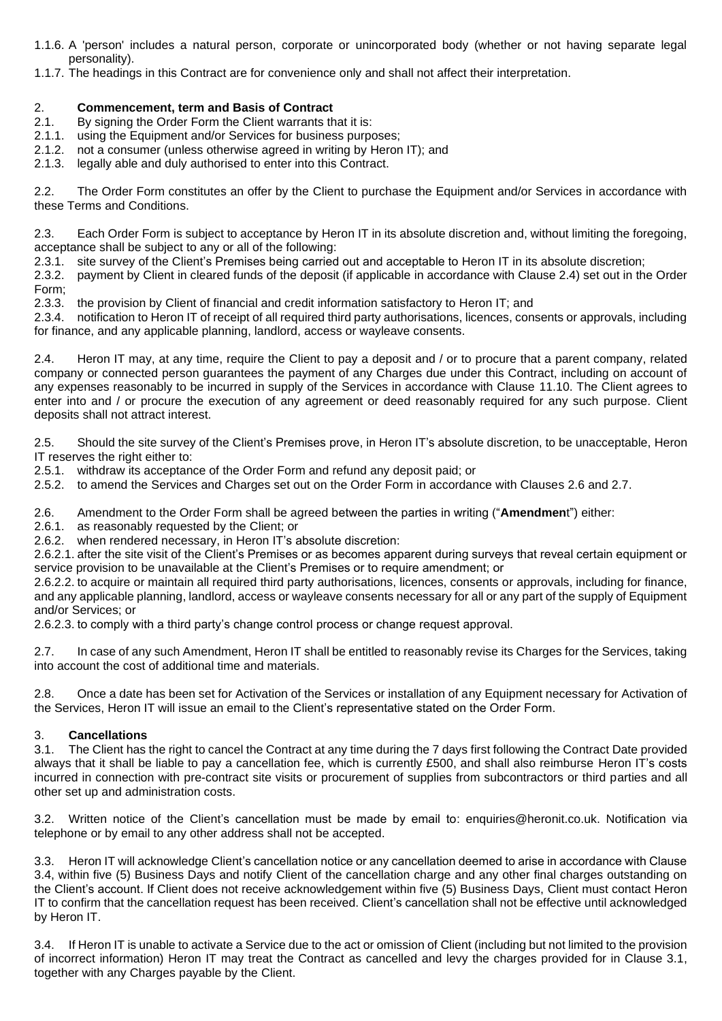- 1.1.6. A 'person' includes a natural person, corporate or unincorporated body (whether or not having separate legal personality).
- 1.1.7. The headings in this Contract are for convenience only and shall not affect their interpretation.

#### 2. **Commencement, term and Basis of Contract**

- 2.1. By signing the Order Form the Client warrants that it is:
- 2.1.1. using the Equipment and/or Services for business purposes;
- 2.1.2. not a consumer (unless otherwise agreed in writing by Heron IT); and
- 2.1.3. legally able and duly authorised to enter into this Contract.

2.2. The Order Form constitutes an offer by the Client to purchase the Equipment and/or Services in accordance with these Terms and Conditions.

2.3. Each Order Form is subject to acceptance by Heron IT in its absolute discretion and, without limiting the foregoing, acceptance shall be subject to any or all of the following:

2.3.1. site survey of the Client's Premises being carried out and acceptable to Heron IT in its absolute discretion;

2.3.2. payment by Client in cleared funds of the deposit (if applicable in accordance with Clause 2.4) set out in the Order Form;

2.3.3. the provision by Client of financial and credit information satisfactory to Heron IT; and

2.3.4. notification to Heron IT of receipt of all required third party authorisations, licences, consents or approvals, including for finance, and any applicable planning, landlord, access or wayleave consents.

2.4. Heron IT may, at any time, require the Client to pay a deposit and / or to procure that a parent company, related company or connected person guarantees the payment of any Charges due under this Contract, including on account of any expenses reasonably to be incurred in supply of the Services in accordance with Clause 11.10. The Client agrees to enter into and / or procure the execution of any agreement or deed reasonably required for any such purpose. Client deposits shall not attract interest.

2.5. Should the site survey of the Client's Premises prove, in Heron IT's absolute discretion, to be unacceptable, Heron IT reserves the right either to:

2.5.1. withdraw its acceptance of the Order Form and refund any deposit paid; or

2.5.2. to amend the Services and Charges set out on the Order Form in accordance with Clauses 2.6 and 2.7.

2.6. Amendment to the Order Form shall be agreed between the parties in writing ("**Amendmen**t") either:

2.6.1. as reasonably requested by the Client; or

2.6.2. when rendered necessary, in Heron IT's absolute discretion:

2.6.2.1. after the site visit of the Client's Premises or as becomes apparent during surveys that reveal certain equipment or service provision to be unavailable at the Client's Premises or to require amendment; or

2.6.2.2. to acquire or maintain all required third party authorisations, licences, consents or approvals, including for finance, and any applicable planning, landlord, access or wayleave consents necessary for all or any part of the supply of Equipment and/or Services; or

2.6.2.3. to comply with a third party's change control process or change request approval.

2.7. In case of any such Amendment, Heron IT shall be entitled to reasonably revise its Charges for the Services, taking into account the cost of additional time and materials.

2.8. Once a date has been set for Activation of the Services or installation of any Equipment necessary for Activation of the Services, Heron IT will issue an email to the Client's representative stated on the Order Form.

#### 3. **Cancellations**

3.1. The Client has the right to cancel the Contract at any time during the 7 days first following the Contract Date provided always that it shall be liable to pay a cancellation fee, which is currently £500, and shall also reimburse Heron IT's costs incurred in connection with pre-contract site visits or procurement of supplies from subcontractors or third parties and all other set up and administration costs.

3.2. Written notice of the Client's cancellation must be made by email to: enquiries@heronit.co.uk. Notification via telephone or by email to any other address shall not be accepted.

3.3. Heron IT will acknowledge Client's cancellation notice or any cancellation deemed to arise in accordance with Clause 3.4, within five (5) Business Days and notify Client of the cancellation charge and any other final charges outstanding on the Client's account. If Client does not receive acknowledgement within five (5) Business Days, Client must contact Heron IT to confirm that the cancellation request has been received. Client's cancellation shall not be effective until acknowledged by Heron IT.

3.4. If Heron IT is unable to activate a Service due to the act or omission of Client (including but not limited to the provision of incorrect information) Heron IT may treat the Contract as cancelled and levy the charges provided for in Clause 3.1, together with any Charges payable by the Client.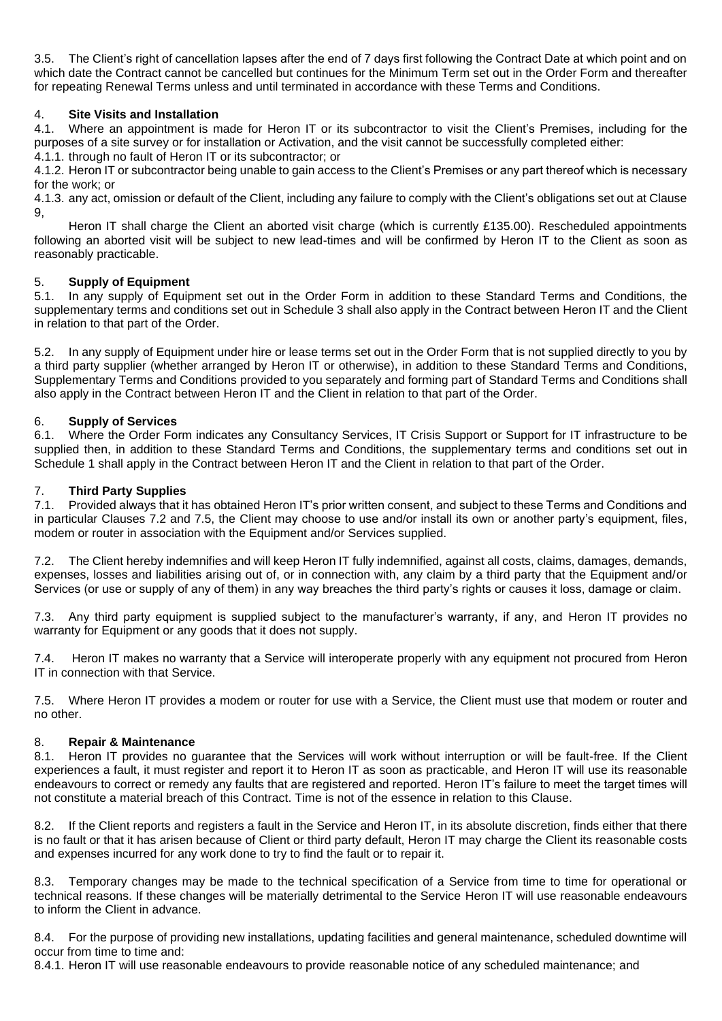3.5. The Client's right of cancellation lapses after the end of 7 days first following the Contract Date at which point and on which date the Contract cannot be cancelled but continues for the Minimum Term set out in the Order Form and thereafter for repeating Renewal Terms unless and until terminated in accordance with these Terms and Conditions.

#### 4. **Site Visits and Installation**

4.1. Where an appointment is made for Heron IT or its subcontractor to visit the Client's Premises, including for the purposes of a site survey or for installation or Activation, and the visit cannot be successfully completed either:

4.1.1. through no fault of Heron IT or its subcontractor; or

4.1.2. Heron IT or subcontractor being unable to gain access to the Client's Premises or any part thereof which is necessary for the work; or

4.1.3. any act, omission or default of the Client, including any failure to comply with the Client's obligations set out at Clause 9,

Heron IT shall charge the Client an aborted visit charge (which is currently £135.00). Rescheduled appointments following an aborted visit will be subject to new lead-times and will be confirmed by Heron IT to the Client as soon as reasonably practicable.

#### 5. **Supply of Equipment**

5.1. In any supply of Equipment set out in the Order Form in addition to these Standard Terms and Conditions, the supplementary terms and conditions set out in Schedule 3 shall also apply in the Contract between Heron IT and the Client in relation to that part of the Order.

5.2. In any supply of Equipment under hire or lease terms set out in the Order Form that is not supplied directly to you by a third party supplier (whether arranged by Heron IT or otherwise), in addition to these Standard Terms and Conditions, Supplementary Terms and Conditions provided to you separately and forming part of Standard Terms and Conditions shall also apply in the Contract between Heron IT and the Client in relation to that part of the Order.

#### 6. **Supply of Services**

6.1. Where the Order Form indicates any Consultancy Services, IT Crisis Support or Support for IT infrastructure to be supplied then, in addition to these Standard Terms and Conditions, the supplementary terms and conditions set out in Schedule 1 shall apply in the Contract between Heron IT and the Client in relation to that part of the Order.

#### 7. **Third Party Supplies**

7.1. Provided always that it has obtained Heron IT's prior written consent, and subject to these Terms and Conditions and in particular Clauses 7.2 and 7.5, the Client may choose to use and/or install its own or another party's equipment, files, modem or router in association with the Equipment and/or Services supplied.

7.2. The Client hereby indemnifies and will keep Heron IT fully indemnified, against all costs, claims, damages, demands, expenses, losses and liabilities arising out of, or in connection with, any claim by a third party that the Equipment and/or Services (or use or supply of any of them) in any way breaches the third party's rights or causes it loss, damage or claim.

7.3. Any third party equipment is supplied subject to the manufacturer's warranty, if any, and Heron IT provides no warranty for Equipment or any goods that it does not supply.

7.4. Heron IT makes no warranty that a Service will interoperate properly with any equipment not procured from Heron IT in connection with that Service.

7.5. Where Heron IT provides a modem or router for use with a Service, the Client must use that modem or router and no other.

#### 8. **Repair & Maintenance**

8.1. Heron IT provides no guarantee that the Services will work without interruption or will be fault-free. If the Client experiences a fault, it must register and report it to Heron IT as soon as practicable, and Heron IT will use its reasonable endeavours to correct or remedy any faults that are registered and reported. Heron IT's failure to meet the target times will not constitute a material breach of this Contract. Time is not of the essence in relation to this Clause.

8.2. If the Client reports and registers a fault in the Service and Heron IT, in its absolute discretion, finds either that there is no fault or that it has arisen because of Client or third party default, Heron IT may charge the Client its reasonable costs and expenses incurred for any work done to try to find the fault or to repair it.

8.3. Temporary changes may be made to the technical specification of a Service from time to time for operational or technical reasons. If these changes will be materially detrimental to the Service Heron IT will use reasonable endeavours to inform the Client in advance.

8.4. For the purpose of providing new installations, updating facilities and general maintenance, scheduled downtime will occur from time to time and:

8.4.1. Heron IT will use reasonable endeavours to provide reasonable notice of any scheduled maintenance; and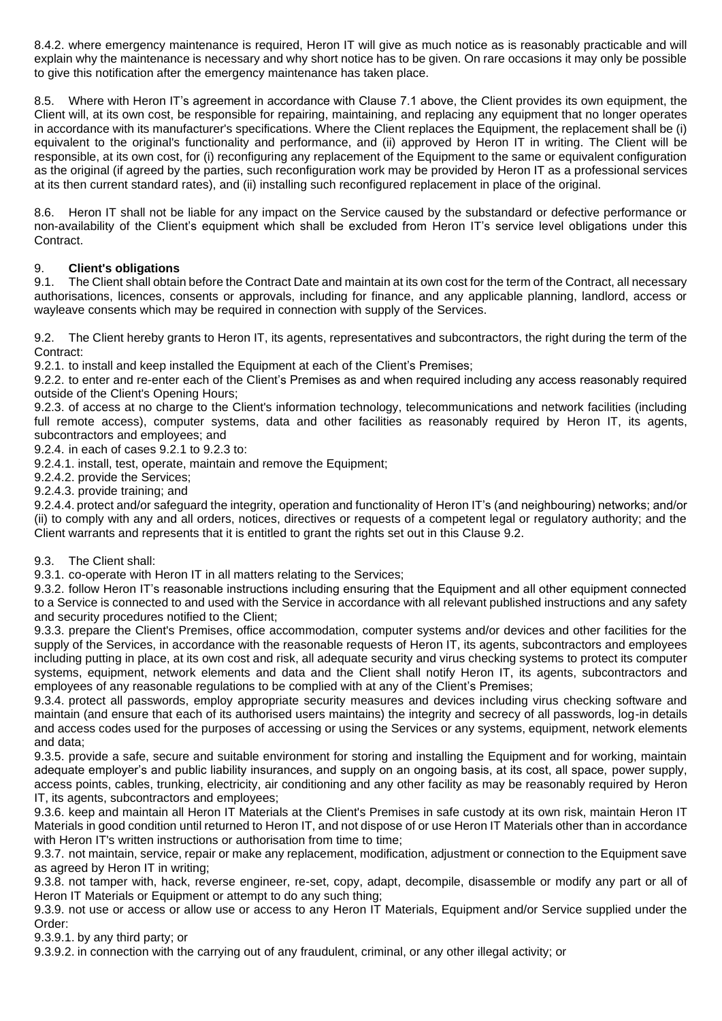8.4.2. where emergency maintenance is required, Heron IT will give as much notice as is reasonably practicable and will explain why the maintenance is necessary and why short notice has to be given. On rare occasions it may only be possible to give this notification after the emergency maintenance has taken place.

8.5. Where with Heron IT's agreement in accordance with Clause 7.1 above, the Client provides its own equipment, the Client will, at its own cost, be responsible for repairing, maintaining, and replacing any equipment that no longer operates in accordance with its manufacturer's specifications. Where the Client replaces the Equipment, the replacement shall be (i) equivalent to the original's functionality and performance, and (ii) approved by Heron IT in writing. The Client will be responsible, at its own cost, for (i) reconfiguring any replacement of the Equipment to the same or equivalent configuration as the original (if agreed by the parties, such reconfiguration work may be provided by Heron IT as a professional services at its then current standard rates), and (ii) installing such reconfigured replacement in place of the original.

8.6. Heron IT shall not be liable for any impact on the Service caused by the substandard or defective performance or non-availability of the Client's equipment which shall be excluded from Heron IT's service level obligations under this Contract.

#### 9. **Client's obligations**

9.1. The Client shall obtain before the Contract Date and maintain at its own cost for the term of the Contract, all necessary authorisations, licences, consents or approvals, including for finance, and any applicable planning, landlord, access or wayleave consents which may be required in connection with supply of the Services.

9.2. The Client hereby grants to Heron IT, its agents, representatives and subcontractors, the right during the term of the Contract:

9.2.1. to install and keep installed the Equipment at each of the Client's Premises;

9.2.2. to enter and re-enter each of the Client's Premises as and when required including any access reasonably required outside of the Client's Opening Hours;

9.2.3. of access at no charge to the Client's information technology, telecommunications and network facilities (including full remote access), computer systems, data and other facilities as reasonably required by Heron IT, its agents, subcontractors and employees; and

9.2.4. in each of cases 9.2.1 to 9.2.3 to:

9.2.4.1. install, test, operate, maintain and remove the Equipment;

9.2.4.2. provide the Services;

9.2.4.3. provide training; and

9.2.4.4. protect and/or safeguard the integrity, operation and functionality of Heron IT's (and neighbouring) networks; and/or (ii) to comply with any and all orders, notices, directives or requests of a competent legal or regulatory authority; and the Client warrants and represents that it is entitled to grant the rights set out in this Clause 9.2.

#### 9.3. The Client shall:

9.3.1. co-operate with Heron IT in all matters relating to the Services;

9.3.2. follow Heron IT's reasonable instructions including ensuring that the Equipment and all other equipment connected to a Service is connected to and used with the Service in accordance with all relevant published instructions and any safety and security procedures notified to the Client;

9.3.3. prepare the Client's Premises, office accommodation, computer systems and/or devices and other facilities for the supply of the Services, in accordance with the reasonable requests of Heron IT, its agents, subcontractors and employees including putting in place, at its own cost and risk, all adequate security and virus checking systems to protect its computer systems, equipment, network elements and data and the Client shall notify Heron IT, its agents, subcontractors and employees of any reasonable regulations to be complied with at any of the Client's Premises;

9.3.4. protect all passwords, employ appropriate security measures and devices including virus checking software and maintain (and ensure that each of its authorised users maintains) the integrity and secrecy of all passwords, log-in details and access codes used for the purposes of accessing or using the Services or any systems, equipment, network elements and data;

9.3.5. provide a safe, secure and suitable environment for storing and installing the Equipment and for working, maintain adequate employer's and public liability insurances, and supply on an ongoing basis, at its cost, all space, power supply, access points, cables, trunking, electricity, air conditioning and any other facility as may be reasonably required by Heron IT, its agents, subcontractors and employees;

9.3.6. keep and maintain all Heron IT Materials at the Client's Premises in safe custody at its own risk, maintain Heron IT Materials in good condition until returned to Heron IT, and not dispose of or use Heron IT Materials other than in accordance with Heron IT's written instructions or authorisation from time to time;

9.3.7. not maintain, service, repair or make any replacement, modification, adjustment or connection to the Equipment save as agreed by Heron IT in writing;

9.3.8. not tamper with, hack, reverse engineer, re-set, copy, adapt, decompile, disassemble or modify any part or all of Heron IT Materials or Equipment or attempt to do any such thing;

9.3.9. not use or access or allow use or access to any Heron IT Materials, Equipment and/or Service supplied under the Order:

9.3.9.1. by any third party; or

9.3.9.2. in connection with the carrying out of any fraudulent, criminal, or any other illegal activity; or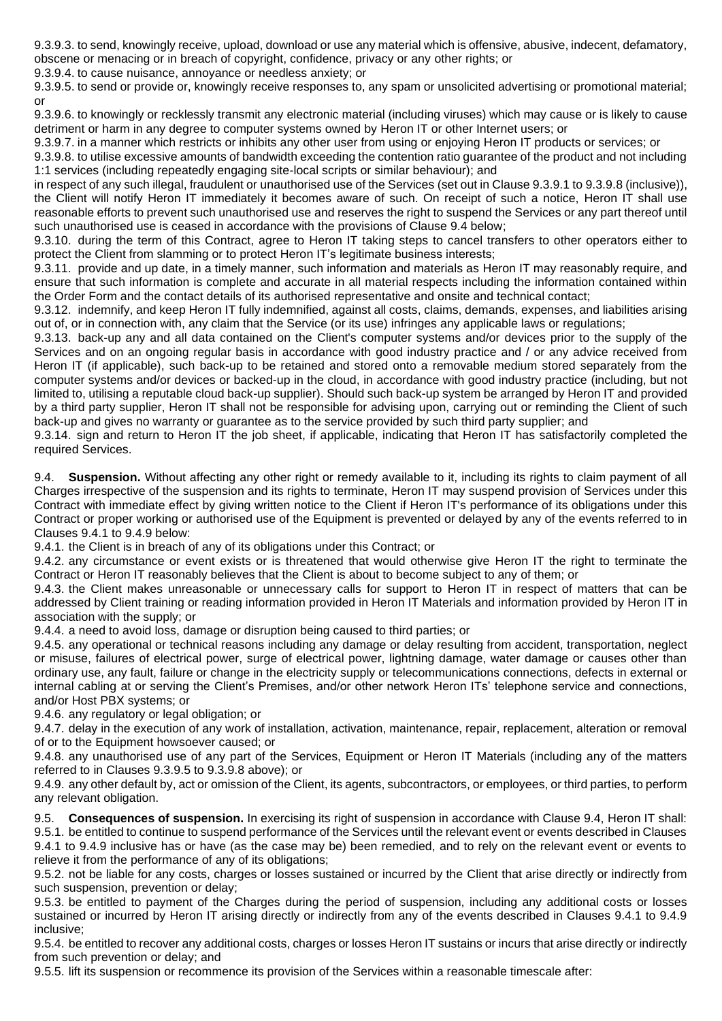9.3.9.3. to send, knowingly receive, upload, download or use any material which is offensive, abusive, indecent, defamatory, obscene or menacing or in breach of copyright, confidence, privacy or any other rights; or

9.3.9.4. to cause nuisance, annoyance or needless anxiety; or

9.3.9.5. to send or provide or, knowingly receive responses to, any spam or unsolicited advertising or promotional material; or

9.3.9.6. to knowingly or recklessly transmit any electronic material (including viruses) which may cause or is likely to cause detriment or harm in any degree to computer systems owned by Heron IT or other Internet users; or

9.3.9.7. in a manner which restricts or inhibits any other user from using or enjoying Heron IT products or services; or 9.3.9.8. to utilise excessive amounts of bandwidth exceeding the contention ratio guarantee of the product and not including 1:1 services (including repeatedly engaging site-local scripts or similar behaviour); and

in respect of any such illegal, fraudulent or unauthorised use of the Services (set out in Clause 9.3.9.1 to 9.3.9.8 (inclusive)), the Client will notify Heron IT immediately it becomes aware of such. On receipt of such a notice, Heron IT shall use reasonable efforts to prevent such unauthorised use and reserves the right to suspend the Services or any part thereof until such unauthorised use is ceased in accordance with the provisions of Clause 9.4 below;

9.3.10. during the term of this Contract, agree to Heron IT taking steps to cancel transfers to other operators either to protect the Client from slamming or to protect Heron IT's legitimate business interests;

9.3.11. provide and up date, in a timely manner, such information and materials as Heron IT may reasonably require, and ensure that such information is complete and accurate in all material respects including the information contained within the Order Form and the contact details of its authorised representative and onsite and technical contact;

9.3.12. indemnify, and keep Heron IT fully indemnified, against all costs, claims, demands, expenses, and liabilities arising out of, or in connection with, any claim that the Service (or its use) infringes any applicable laws or regulations;

9.3.13. back-up any and all data contained on the Client's computer systems and/or devices prior to the supply of the Services and on an ongoing regular basis in accordance with good industry practice and / or any advice received from Heron IT (if applicable), such back-up to be retained and stored onto a removable medium stored separately from the computer systems and/or devices or backed-up in the cloud, in accordance with good industry practice (including, but not limited to, utilising a reputable cloud back-up supplier). Should such back-up system be arranged by Heron IT and provided by a third party supplier, Heron IT shall not be responsible for advising upon, carrying out or reminding the Client of such back-up and gives no warranty or guarantee as to the service provided by such third party supplier; and

9.3.14. sign and return to Heron IT the job sheet, if applicable, indicating that Heron IT has satisfactorily completed the required Services.

9.4. **Suspension.** Without affecting any other right or remedy available to it, including its rights to claim payment of all Charges irrespective of the suspension and its rights to terminate, Heron IT may suspend provision of Services under this Contract with immediate effect by giving written notice to the Client if Heron IT's performance of its obligations under this Contract or proper working or authorised use of the Equipment is prevented or delayed by any of the events referred to in Clauses 9.4.1 to 9.4.9 below:

9.4.1. the Client is in breach of any of its obligations under this Contract; or

9.4.2. any circumstance or event exists or is threatened that would otherwise give Heron IT the right to terminate the Contract or Heron IT reasonably believes that the Client is about to become subject to any of them; or

9.4.3. the Client makes unreasonable or unnecessary calls for support to Heron IT in respect of matters that can be addressed by Client training or reading information provided in Heron IT Materials and information provided by Heron IT in association with the supply; or

9.4.4. a need to avoid loss, damage or disruption being caused to third parties; or

9.4.5. any operational or technical reasons including any damage or delay resulting from accident, transportation, neglect or misuse, failures of electrical power, surge of electrical power, lightning damage, water damage or causes other than ordinary use, any fault, failure or change in the electricity supply or telecommunications connections, defects in external or internal cabling at or serving the Client's Premises, and/or other network Heron ITs' telephone service and connections, and/or Host PBX systems; or

9.4.6. any regulatory or legal obligation; or

9.4.7. delay in the execution of any work of installation, activation, maintenance, repair, replacement, alteration or removal of or to the Equipment howsoever caused; or

9.4.8. any unauthorised use of any part of the Services, Equipment or Heron IT Materials (including any of the matters referred to in Clauses 9.3.9.5 to 9.3.9.8 above); or

9.4.9. any other default by, act or omission of the Client, its agents, subcontractors, or employees, or third parties, to perform any relevant obligation.

9.5. **Consequences of suspension.** In exercising its right of suspension in accordance with Clause 9.4, Heron IT shall: 9.5.1. be entitled to continue to suspend performance of the Services until the relevant event or events described in Clauses 9.4.1 to 9.4.9 inclusive has or have (as the case may be) been remedied, and to rely on the relevant event or events to relieve it from the performance of any of its obligations;

9.5.2. not be liable for any costs, charges or losses sustained or incurred by the Client that arise directly or indirectly from such suspension, prevention or delay;

9.5.3. be entitled to payment of the Charges during the period of suspension, including any additional costs or losses sustained or incurred by Heron IT arising directly or indirectly from any of the events described in Clauses 9.4.1 to 9.4.9 inclusive;

9.5.4. be entitled to recover any additional costs, charges or losses Heron IT sustains or incurs that arise directly or indirectly from such prevention or delay; and

9.5.5. lift its suspension or recommence its provision of the Services within a reasonable timescale after: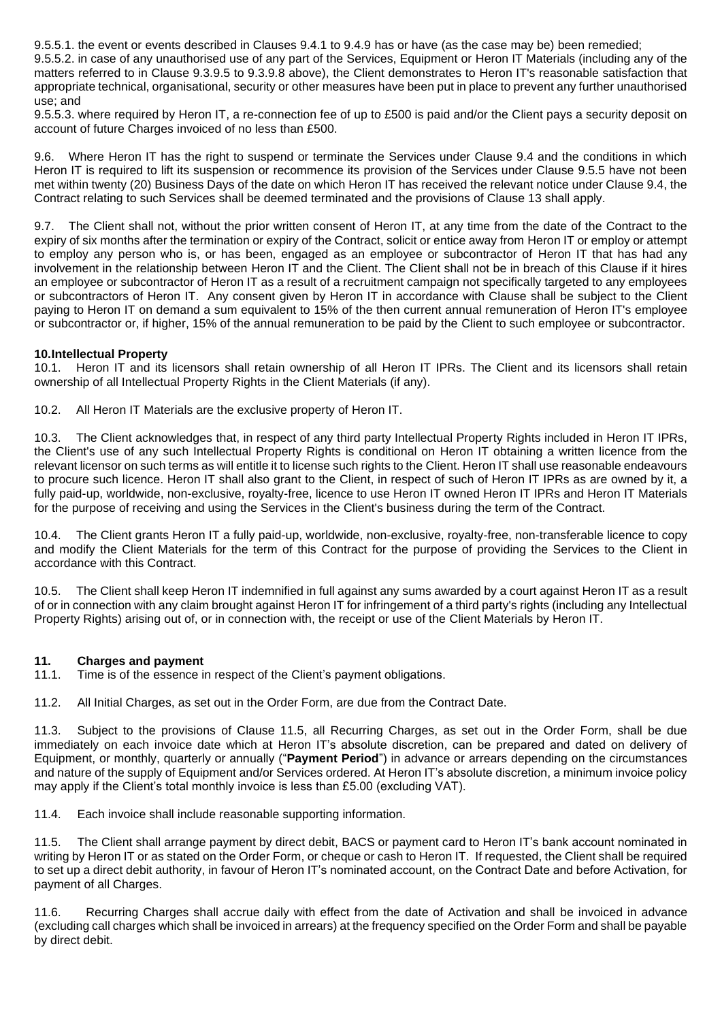9.5.5.1. the event or events described in Clauses 9.4.1 to 9.4.9 has or have (as the case may be) been remedied;

9.5.5.2. in case of any unauthorised use of any part of the Services, Equipment or Heron IT Materials (including any of the matters referred to in Clause 9.3.9.5 to 9.3.9.8 above), the Client demonstrates to Heron IT's reasonable satisfaction that appropriate technical, organisational, security or other measures have been put in place to prevent any further unauthorised use; and

9.5.5.3. where required by Heron IT, a re-connection fee of up to £500 is paid and/or the Client pays a security deposit on account of future Charges invoiced of no less than £500.

9.6. Where Heron IT has the right to suspend or terminate the Services under Clause 9.4 and the conditions in which Heron IT is required to lift its suspension or recommence its provision of the Services under Clause 9.5.5 have not been met within twenty (20) Business Days of the date on which Heron IT has received the relevant notice under Clause 9.4, the Contract relating to such Services shall be deemed terminated and the provisions of Clause 13 shall apply.

9.7. The Client shall not, without the prior written consent of Heron IT, at any time from the date of the Contract to the expiry of six months after the termination or expiry of the Contract, solicit or entice away from Heron IT or employ or attempt to employ any person who is, or has been, engaged as an employee or subcontractor of Heron IT that has had any involvement in the relationship between Heron IT and the Client. The Client shall not be in breach of this Clause if it hires an employee or subcontractor of Heron IT as a result of a recruitment campaign not specifically targeted to any employees or subcontractors of Heron IT. Any consent given by Heron IT in accordance with Clause shall be subject to the Client paying to Heron IT on demand a sum equivalent to 15% of the then current annual remuneration of Heron IT's employee or subcontractor or, if higher, 15% of the annual remuneration to be paid by the Client to such employee or subcontractor.

#### **10.Intellectual Property**

10.1. Heron IT and its licensors shall retain ownership of all Heron IT IPRs. The Client and its licensors shall retain ownership of all Intellectual Property Rights in the Client Materials (if any).

10.2. All Heron IT Materials are the exclusive property of Heron IT.

10.3. The Client acknowledges that, in respect of any third party Intellectual Property Rights included in Heron IT IPRs, the Client's use of any such Intellectual Property Rights is conditional on Heron IT obtaining a written licence from the relevant licensor on such terms as will entitle it to license such rights to the Client. Heron IT shall use reasonable endeavours to procure such licence. Heron IT shall also grant to the Client, in respect of such of Heron IT IPRs as are owned by it, a fully paid-up, worldwide, non-exclusive, royalty-free, licence to use Heron IT owned Heron IT IPRs and Heron IT Materials for the purpose of receiving and using the Services in the Client's business during the term of the Contract.

10.4. The Client grants Heron IT a fully paid-up, worldwide, non-exclusive, royalty-free, non-transferable licence to copy and modify the Client Materials for the term of this Contract for the purpose of providing the Services to the Client in accordance with this Contract.

10.5. The Client shall keep Heron IT indemnified in full against any sums awarded by a court against Heron IT as a result of or in connection with any claim brought against Heron IT for infringement of a third party's rights (including any Intellectual Property Rights) arising out of, or in connection with, the receipt or use of the Client Materials by Heron IT.

#### **11. Charges and payment**

11.1. Time is of the essence in respect of the Client's payment obligations.

11.2. All Initial Charges, as set out in the Order Form, are due from the Contract Date.

11.3. Subject to the provisions of Clause 11.5, all Recurring Charges, as set out in the Order Form, shall be due immediately on each invoice date which at Heron IT's absolute discretion, can be prepared and dated on delivery of Equipment, or monthly, quarterly or annually ("**Payment Period**") in advance or arrears depending on the circumstances and nature of the supply of Equipment and/or Services ordered. At Heron IT's absolute discretion, a minimum invoice policy may apply if the Client's total monthly invoice is less than £5.00 (excluding VAT).

11.4. Each invoice shall include reasonable supporting information.

11.5. The Client shall arrange payment by direct debit, BACS or payment card to Heron IT's bank account nominated in writing by Heron IT or as stated on the Order Form, or cheque or cash to Heron IT. If requested, the Client shall be required to set up a direct debit authority, in favour of Heron IT's nominated account, on the Contract Date and before Activation, for payment of all Charges.

11.6. Recurring Charges shall accrue daily with effect from the date of Activation and shall be invoiced in advance (excluding call charges which shall be invoiced in arrears) at the frequency specified on the Order Form and shall be payable by direct debit.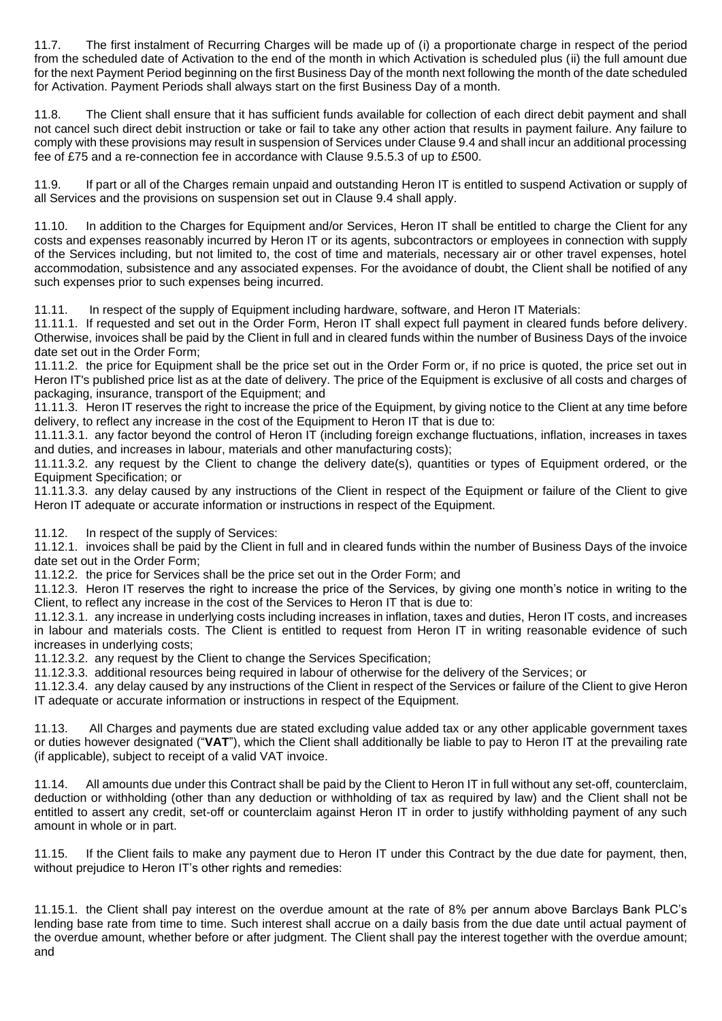11.7. The first instalment of Recurring Charges will be made up of (i) a proportionate charge in respect of the period from the scheduled date of Activation to the end of the month in which Activation is scheduled plus (ii) the full amount due for the next Payment Period beginning on the first Business Day of the month next following the month of the date scheduled for Activation. Payment Periods shall always start on the first Business Day of a month.

11.8. The Client shall ensure that it has sufficient funds available for collection of each direct debit payment and shall not cancel such direct debit instruction or take or fail to take any other action that results in payment failure. Any failure to comply with these provisions may result in suspension of Services under Clause 9.4 and shall incur an additional processing fee of £75 and a re-connection fee in accordance with Clause 9.5.5.3 of up to £500.

11.9. If part or all of the Charges remain unpaid and outstanding Heron IT is entitled to suspend Activation or supply of all Services and the provisions on suspension set out in Clause 9.4 shall apply.

11.10. In addition to the Charges for Equipment and/or Services, Heron IT shall be entitled to charge the Client for any costs and expenses reasonably incurred by Heron IT or its agents, subcontractors or employees in connection with supply of the Services including, but not limited to, the cost of time and materials, necessary air or other travel expenses, hotel accommodation, subsistence and any associated expenses. For the avoidance of doubt, the Client shall be notified of any such expenses prior to such expenses being incurred.

11.11. In respect of the supply of Equipment including hardware, software, and Heron IT Materials:

11.11.1. If requested and set out in the Order Form, Heron IT shall expect full payment in cleared funds before delivery. Otherwise, invoices shall be paid by the Client in full and in cleared funds within the number of Business Days of the invoice date set out in the Order Form;

11.11.2. the price for Equipment shall be the price set out in the Order Form or, if no price is quoted, the price set out in Heron IT's published price list as at the date of delivery. The price of the Equipment is exclusive of all costs and charges of packaging, insurance, transport of the Equipment; and

11.11.3. Heron IT reserves the right to increase the price of the Equipment, by giving notice to the Client at any time before delivery, to reflect any increase in the cost of the Equipment to Heron IT that is due to:

11.11.3.1. any factor beyond the control of Heron IT (including foreign exchange fluctuations, inflation, increases in taxes and duties, and increases in labour, materials and other manufacturing costs);

11.11.3.2. any request by the Client to change the delivery date(s), quantities or types of Equipment ordered, or the Equipment Specification; or

11.11.3.3. any delay caused by any instructions of the Client in respect of the Equipment or failure of the Client to give Heron IT adequate or accurate information or instructions in respect of the Equipment.

11.12. In respect of the supply of Services:

11.12.1. invoices shall be paid by the Client in full and in cleared funds within the number of Business Days of the invoice date set out in the Order Form;

11.12.2. the price for Services shall be the price set out in the Order Form; and

11.12.3. Heron IT reserves the right to increase the price of the Services, by giving one month's notice in writing to the Client, to reflect any increase in the cost of the Services to Heron IT that is due to:

11.12.3.1. any increase in underlying costs including increases in inflation, taxes and duties, Heron IT costs, and increases in labour and materials costs. The Client is entitled to request from Heron IT in writing reasonable evidence of such increases in underlying costs;

11.12.3.2. any request by the Client to change the Services Specification;

11.12.3.3. additional resources being required in labour of otherwise for the delivery of the Services; or

11.12.3.4. any delay caused by any instructions of the Client in respect of the Services or failure of the Client to give Heron IT adequate or accurate information or instructions in respect of the Equipment.

11.13. All Charges and payments due are stated excluding value added tax or any other applicable government taxes or duties however designated ("**VAT**"), which the Client shall additionally be liable to pay to Heron IT at the prevailing rate (if applicable), subject to receipt of a valid VAT invoice.

11.14. All amounts due under this Contract shall be paid by the Client to Heron IT in full without any set-off, counterclaim, deduction or withholding (other than any deduction or withholding of tax as required by law) and the Client shall not be entitled to assert any credit, set-off or counterclaim against Heron IT in order to justify withholding payment of any such amount in whole or in part.

11.15. If the Client fails to make any payment due to Heron IT under this Contract by the due date for payment, then, without prejudice to Heron IT's other rights and remedies:

11.15.1. the Client shall pay interest on the overdue amount at the rate of 8% per annum above Barclays Bank PLC's lending base rate from time to time. Such interest shall accrue on a daily basis from the due date until actual payment of the overdue amount, whether before or after judgment. The Client shall pay the interest together with the overdue amount; and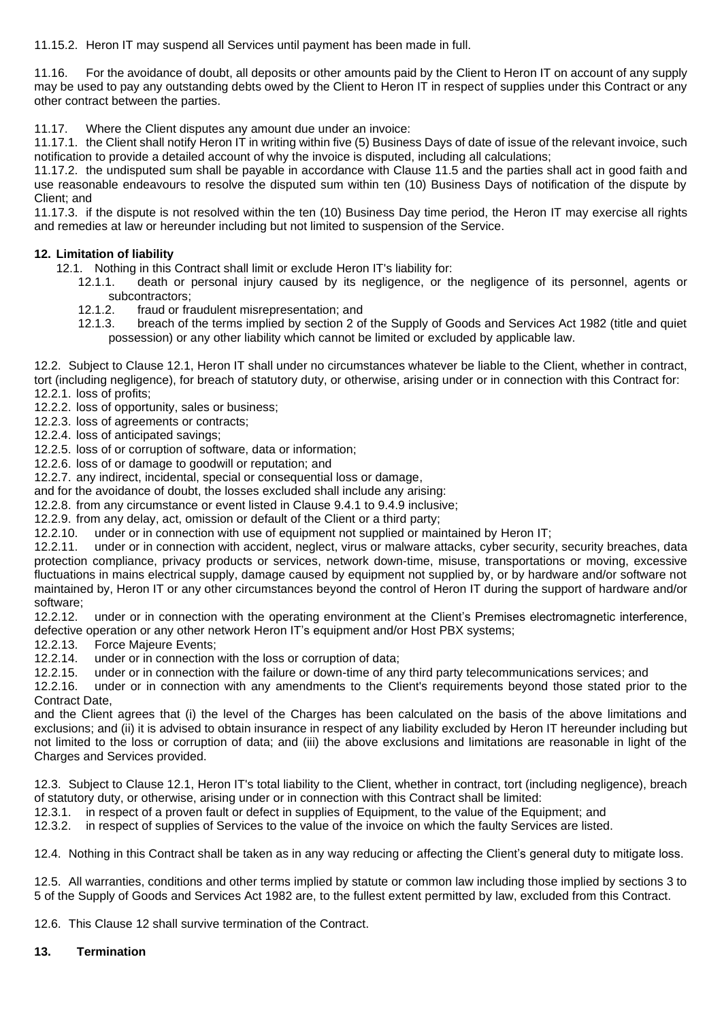11.15.2. Heron IT may suspend all Services until payment has been made in full.

11.16. For the avoidance of doubt, all deposits or other amounts paid by the Client to Heron IT on account of any supply may be used to pay any outstanding debts owed by the Client to Heron IT in respect of supplies under this Contract or any other contract between the parties.

11.17. Where the Client disputes any amount due under an invoice:

11.17.1. the Client shall notify Heron IT in writing within five (5) Business Days of date of issue of the relevant invoice, such notification to provide a detailed account of why the invoice is disputed, including all calculations;

11.17.2. the undisputed sum shall be payable in accordance with Clause 11.5 and the parties shall act in good faith and use reasonable endeavours to resolve the disputed sum within ten (10) Business Days of notification of the dispute by Client; and

11.17.3. if the dispute is not resolved within the ten (10) Business Day time period, the Heron IT may exercise all rights and remedies at law or hereunder including but not limited to suspension of the Service.

#### **12. Limitation of liability**

12.1. Nothing in this Contract shall limit or exclude Heron IT's liability for:

- 12.1.1. death or personal injury caused by its negligence, or the negligence of its personnel, agents or subcontractors;
- 12.1.2. fraud or fraudulent misrepresentation; and
- 12.1.3. breach of the terms implied by section 2 of the Supply of Goods and Services Act 1982 (title and quiet possession) or any other liability which cannot be limited or excluded by applicable law.

12.2. Subject to Clause 12.1, Heron IT shall under no circumstances whatever be liable to the Client, whether in contract, tort (including negligence), for breach of statutory duty, or otherwise, arising under or in connection with this Contract for: 12.2.1. loss of profits;

12.2.2. loss of opportunity, sales or business;

- 12.2.3. loss of agreements or contracts;
- 12.2.4. loss of anticipated savings;

12.2.5. loss of or corruption of software, data or information;

12.2.6. loss of or damage to goodwill or reputation; and

12.2.7. any indirect, incidental, special or consequential loss or damage,

and for the avoidance of doubt, the losses excluded shall include any arising:

12.2.8. from any circumstance or event listed in Clause 9.4.1 to 9.4.9 inclusive;

12.2.9. from any delay, act, omission or default of the Client or a third party;

12.2.10. under or in connection with use of equipment not supplied or maintained by Heron IT;

12.2.11. under or in connection with accident, neglect, virus or malware attacks, cyber security, security breaches, data protection compliance, privacy products or services, network down-time, misuse, transportations or moving, excessive fluctuations in mains electrical supply, damage caused by equipment not supplied by, or by hardware and/or software not maintained by, Heron IT or any other circumstances beyond the control of Heron IT during the support of hardware and/or software;<br>12.2.12.

under or in connection with the operating environment at the Client's Premises electromagnetic interference, defective operation or any other network Heron IT's equipment and/or Host PBX systems;

12.2.13. Force Majeure Events;<br>12.2.14. under or in connection

12.2.14. under or in connection with the loss or corruption of data;<br>12.2.15. under or in connection with the failure or down-time of any

12.2.15. under or in connection with the failure or down-time of any third party telecommunications services; and

12.2.16. under or in connection with any amendments to the Client's requirements beyond those stated prior to the Contract Date,

and the Client agrees that (i) the level of the Charges has been calculated on the basis of the above limitations and exclusions; and (ii) it is advised to obtain insurance in respect of any liability excluded by Heron IT hereunder including but not limited to the loss or corruption of data; and (iii) the above exclusions and limitations are reasonable in light of the Charges and Services provided.

12.3. Subject to Clause 12.1, Heron IT's total liability to the Client, whether in contract, tort (including negligence), breach of statutory duty, or otherwise, arising under or in connection with this Contract shall be limited:

12.3.1. in respect of a proven fault or defect in supplies of Equipment, to the value of the Equipment; and

12.3.2. in respect of supplies of Services to the value of the invoice on which the faulty Services are listed.

12.4. Nothing in this Contract shall be taken as in any way reducing or affecting the Client's general duty to mitigate loss.

12.5. All warranties, conditions and other terms implied by statute or common law including those implied by sections 3 to 5 of the Supply of Goods and Services Act 1982 are, to the fullest extent permitted by law, excluded from this Contract.

12.6. This Clause 12 shall survive termination of the Contract.

#### **13. Termination**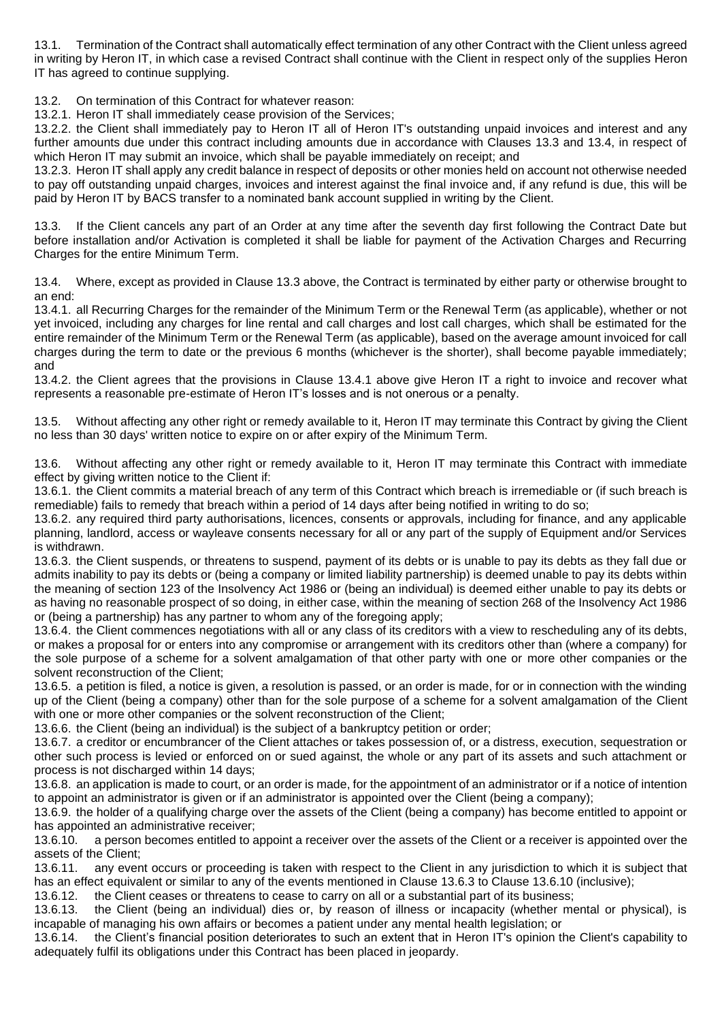13.1. Termination of the Contract shall automatically effect termination of any other Contract with the Client unless agreed in writing by Heron IT, in which case a revised Contract shall continue with the Client in respect only of the supplies Heron IT has agreed to continue supplying.

13.2. On termination of this Contract for whatever reason:

13.2.1. Heron IT shall immediately cease provision of the Services;

13.2.2. the Client shall immediately pay to Heron IT all of Heron IT's outstanding unpaid invoices and interest and any further amounts due under this contract including amounts due in accordance with Clauses 13.3 and 13.4, in respect of which Heron IT may submit an invoice, which shall be payable immediately on receipt; and

13.2.3. Heron IT shall apply any credit balance in respect of deposits or other monies held on account not otherwise needed to pay off outstanding unpaid charges, invoices and interest against the final invoice and, if any refund is due, this will be paid by Heron IT by BACS transfer to a nominated bank account supplied in writing by the Client.

13.3. If the Client cancels any part of an Order at any time after the seventh day first following the Contract Date but before installation and/or Activation is completed it shall be liable for payment of the Activation Charges and Recurring Charges for the entire Minimum Term.

13.4. Where, except as provided in Clause 13.3 above, the Contract is terminated by either party or otherwise brought to an end:

13.4.1. all Recurring Charges for the remainder of the Minimum Term or the Renewal Term (as applicable), whether or not yet invoiced, including any charges for line rental and call charges and lost call charges, which shall be estimated for the entire remainder of the Minimum Term or the Renewal Term (as applicable), based on the average amount invoiced for call charges during the term to date or the previous 6 months (whichever is the shorter), shall become payable immediately; and

13.4.2. the Client agrees that the provisions in Clause 13.4.1 above give Heron IT a right to invoice and recover what represents a reasonable pre-estimate of Heron IT's losses and is not onerous or a penalty.

13.5. Without affecting any other right or remedy available to it, Heron IT may terminate this Contract by giving the Client no less than 30 days' written notice to expire on or after expiry of the Minimum Term.

13.6. Without affecting any other right or remedy available to it, Heron IT may terminate this Contract with immediate effect by giving written notice to the Client if:

13.6.1. the Client commits a material breach of any term of this Contract which breach is irremediable or (if such breach is remediable) fails to remedy that breach within a period of 14 days after being notified in writing to do so;

13.6.2. any required third party authorisations, licences, consents or approvals, including for finance, and any applicable planning, landlord, access or wayleave consents necessary for all or any part of the supply of Equipment and/or Services is withdrawn.

13.6.3. the Client suspends, or threatens to suspend, payment of its debts or is unable to pay its debts as they fall due or admits inability to pay its debts or (being a company or limited liability partnership) is deemed unable to pay its debts within the meaning of section 123 of the Insolvency Act 1986 or (being an individual) is deemed either unable to pay its debts or as having no reasonable prospect of so doing, in either case, within the meaning of section 268 of the Insolvency Act 1986 or (being a partnership) has any partner to whom any of the foregoing apply;

13.6.4. the Client commences negotiations with all or any class of its creditors with a view to rescheduling any of its debts, or makes a proposal for or enters into any compromise or arrangement with its creditors other than (where a company) for the sole purpose of a scheme for a solvent amalgamation of that other party with one or more other companies or the solvent reconstruction of the Client;

13.6.5. a petition is filed, a notice is given, a resolution is passed, or an order is made, for or in connection with the winding up of the Client (being a company) other than for the sole purpose of a scheme for a solvent amalgamation of the Client with one or more other companies or the solvent reconstruction of the Client;

13.6.6. the Client (being an individual) is the subject of a bankruptcy petition or order;

13.6.7. a creditor or encumbrancer of the Client attaches or takes possession of, or a distress, execution, sequestration or other such process is levied or enforced on or sued against, the whole or any part of its assets and such attachment or process is not discharged within 14 days;

13.6.8. an application is made to court, or an order is made, for the appointment of an administrator or if a notice of intention to appoint an administrator is given or if an administrator is appointed over the Client (being a company);

13.6.9. the holder of a qualifying charge over the assets of the Client (being a company) has become entitled to appoint or has appointed an administrative receiver;

13.6.10. a person becomes entitled to appoint a receiver over the assets of the Client or a receiver is appointed over the assets of the Client;

13.6.11. any event occurs or proceeding is taken with respect to the Client in any jurisdiction to which it is subject that has an effect equivalent or similar to any of the events mentioned in Clause 13.6.3 to Clause 13.6.10 (inclusive);

13.6.12. the Client ceases or threatens to cease to carry on all or a substantial part of its business;

13.6.13. the Client (being an individual) dies or, by reason of illness or incapacity (whether mental or physical), is incapable of managing his own affairs or becomes a patient under any mental health legislation; or

13.6.14. the Client's financial position deteriorates to such an extent that in Heron IT's opinion the Client's capability to adequately fulfil its obligations under this Contract has been placed in jeopardy.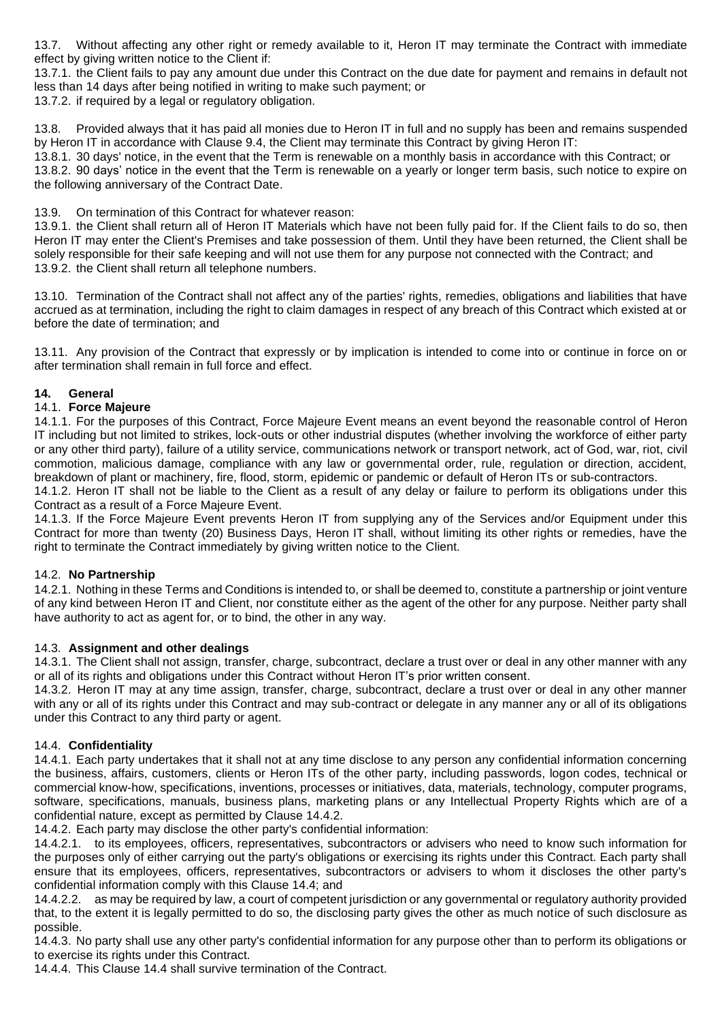13.7. Without affecting any other right or remedy available to it, Heron IT may terminate the Contract with immediate effect by giving written notice to the Client if:

13.7.1. the Client fails to pay any amount due under this Contract on the due date for payment and remains in default not less than 14 days after being notified in writing to make such payment; or

13.7.2. if required by a legal or regulatory obligation.

13.8. Provided always that it has paid all monies due to Heron IT in full and no supply has been and remains suspended by Heron IT in accordance with Clause 9.4, the Client may terminate this Contract by giving Heron IT:

13.8.1. 30 days' notice, in the event that the Term is renewable on a monthly basis in accordance with this Contract; or 13.8.2. 90 days' notice in the event that the Term is renewable on a yearly or longer term basis, such notice to expire on the following anniversary of the Contract Date.

13.9. On termination of this Contract for whatever reason:

13.9.1. the Client shall return all of Heron IT Materials which have not been fully paid for. If the Client fails to do so, then Heron IT may enter the Client's Premises and take possession of them. Until they have been returned, the Client shall be solely responsible for their safe keeping and will not use them for any purpose not connected with the Contract; and 13.9.2. the Client shall return all telephone numbers.

13.10. Termination of the Contract shall not affect any of the parties' rights, remedies, obligations and liabilities that have accrued as at termination, including the right to claim damages in respect of any breach of this Contract which existed at or before the date of termination; and

13.11. Any provision of the Contract that expressly or by implication is intended to come into or continue in force on or after termination shall remain in full force and effect.

#### **14. General**

#### 14.1. **Force Majeure**

14.1.1. For the purposes of this Contract, Force Majeure Event means an event beyond the reasonable control of Heron IT including but not limited to strikes, lock-outs or other industrial disputes (whether involving the workforce of either party or any other third party), failure of a utility service, communications network or transport network, act of God, war, riot, civil commotion, malicious damage, compliance with any law or governmental order, rule, regulation or direction, accident, breakdown of plant or machinery, fire, flood, storm, epidemic or pandemic or default of Heron ITs or sub-contractors.

14.1.2. Heron IT shall not be liable to the Client as a result of any delay or failure to perform its obligations under this Contract as a result of a Force Majeure Event.

14.1.3. If the Force Majeure Event prevents Heron IT from supplying any of the Services and/or Equipment under this Contract for more than twenty (20) Business Days, Heron IT shall, without limiting its other rights or remedies, have the right to terminate the Contract immediately by giving written notice to the Client.

#### 14.2. **No Partnership**

14.2.1. Nothing in these Terms and Conditions is intended to, or shall be deemed to, constitute a partnership or joint venture of any kind between Heron IT and Client, nor constitute either as the agent of the other for any purpose. Neither party shall have authority to act as agent for, or to bind, the other in any way.

#### 14.3. **Assignment and other dealings**

14.3.1. The Client shall not assign, transfer, charge, subcontract, declare a trust over or deal in any other manner with any or all of its rights and obligations under this Contract without Heron IT's prior written consent.

14.3.2. Heron IT may at any time assign, transfer, charge, subcontract, declare a trust over or deal in any other manner with any or all of its rights under this Contract and may sub-contract or delegate in any manner any or all of its obligations under this Contract to any third party or agent.

#### 14.4. **Confidentiality**

14.4.1. Each party undertakes that it shall not at any time disclose to any person any confidential information concerning the business, affairs, customers, clients or Heron ITs of the other party, including passwords, logon codes, technical or commercial know-how, specifications, inventions, processes or initiatives, data, materials, technology, computer programs, software, specifications, manuals, business plans, marketing plans or any Intellectual Property Rights which are of a confidential nature, except as permitted by Clause 14.4.2.

14.4.2. Each party may disclose the other party's confidential information:

14.4.2.1. to its employees, officers, representatives, subcontractors or advisers who need to know such information for the purposes only of either carrying out the party's obligations or exercising its rights under this Contract. Each party shall ensure that its employees, officers, representatives, subcontractors or advisers to whom it discloses the other party's confidential information comply with this Clause 14.4; and

14.4.2.2. as may be required by law, a court of competent jurisdiction or any governmental or regulatory authority provided that, to the extent it is legally permitted to do so, the disclosing party gives the other as much notice of such disclosure as possible.

14.4.3. No party shall use any other party's confidential information for any purpose other than to perform its obligations or to exercise its rights under this Contract.

14.4.4. This Clause 14.4 shall survive termination of the Contract.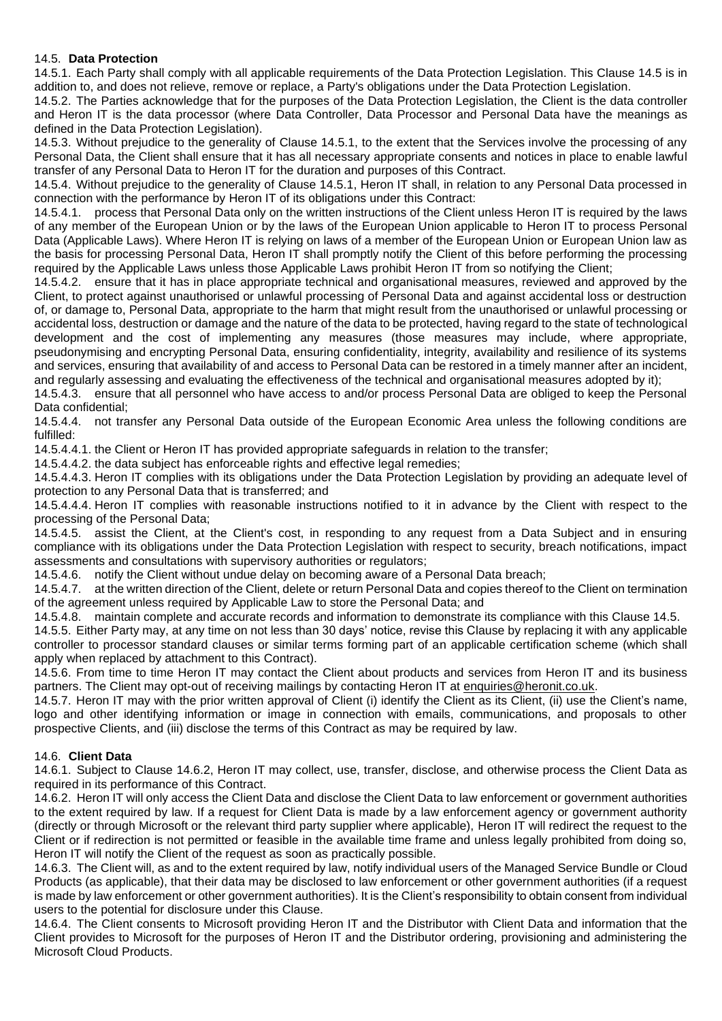#### 14.5. **Data Protection**

14.5.1. Each Party shall comply with all applicable requirements of the Data Protection Legislation. This Clause 14.5 is in addition to, and does not relieve, remove or replace, a Party's obligations under the Data Protection Legislation.

14.5.2. The Parties acknowledge that for the purposes of the Data Protection Legislation, the Client is the data controller and Heron IT is the data processor (where Data Controller, Data Processor and Personal Data have the meanings as defined in the Data Protection Legislation).

14.5.3. Without prejudice to the generality of Clause 14.5.1, to the extent that the Services involve the processing of any Personal Data, the Client shall ensure that it has all necessary appropriate consents and notices in place to enable lawful transfer of any Personal Data to Heron IT for the duration and purposes of this Contract.

14.5.4. Without prejudice to the generality of Clause 14.5.1, Heron IT shall, in relation to any Personal Data processed in connection with the performance by Heron IT of its obligations under this Contract:

14.5.4.1. process that Personal Data only on the written instructions of the Client unless Heron IT is required by the laws of any member of the European Union or by the laws of the European Union applicable to Heron IT to process Personal Data (Applicable Laws). Where Heron IT is relying on laws of a member of the European Union or European Union law as the basis for processing Personal Data, Heron IT shall promptly notify the Client of this before performing the processing required by the Applicable Laws unless those Applicable Laws prohibit Heron IT from so notifying the Client;

14.5.4.2. ensure that it has in place appropriate technical and organisational measures, reviewed and approved by the Client, to protect against unauthorised or unlawful processing of Personal Data and against accidental loss or destruction of, or damage to, Personal Data, appropriate to the harm that might result from the unauthorised or unlawful processing or accidental loss, destruction or damage and the nature of the data to be protected, having regard to the state of technological development and the cost of implementing any measures (those measures may include, where appropriate, pseudonymising and encrypting Personal Data, ensuring confidentiality, integrity, availability and resilience of its systems and services, ensuring that availability of and access to Personal Data can be restored in a timely manner after an incident, and regularly assessing and evaluating the effectiveness of the technical and organisational measures adopted by it);

14.5.4.3. ensure that all personnel who have access to and/or process Personal Data are obliged to keep the Personal Data confidential;

14.5.4.4. not transfer any Personal Data outside of the European Economic Area unless the following conditions are fulfilled:

14.5.4.4.1. the Client or Heron IT has provided appropriate safeguards in relation to the transfer;

14.5.4.4.2. the data subject has enforceable rights and effective legal remedies;

14.5.4.4.3. Heron IT complies with its obligations under the Data Protection Legislation by providing an adequate level of protection to any Personal Data that is transferred; and

14.5.4.4.4. Heron IT complies with reasonable instructions notified to it in advance by the Client with respect to the processing of the Personal Data;

14.5.4.5. assist the Client, at the Client's cost, in responding to any request from a Data Subject and in ensuring compliance with its obligations under the Data Protection Legislation with respect to security, breach notifications, impact assessments and consultations with supervisory authorities or regulators;

14.5.4.6. notify the Client without undue delay on becoming aware of a Personal Data breach;

14.5.4.7. at the written direction of the Client, delete or return Personal Data and copies thereof to the Client on termination of the agreement unless required by Applicable Law to store the Personal Data; and

14.5.4.8. maintain complete and accurate records and information to demonstrate its compliance with this Clause 14.5.

14.5.5. Either Party may, at any time on not less than 30 days' notice, revise this Clause by replacing it with any applicable controller to processor standard clauses or similar terms forming part of an applicable certification scheme (which shall apply when replaced by attachment to this Contract).

14.5.6. From time to time Heron IT may contact the Client about products and services from Heron IT and its business partners. The Client may opt-out of receiving mailings by contacting Heron IT at enquiries@heronit.co.uk.

14.5.7. Heron IT may with the prior written approval of Client (i) identify the Client as its Client, (ii) use the Client's name, logo and other identifying information or image in connection with emails, communications, and proposals to other prospective Clients, and (iii) disclose the terms of this Contract as may be required by law.

#### 14.6. **Client Data**

14.6.1. Subject to Clause 14.6.2, Heron IT may collect, use, transfer, disclose, and otherwise process the Client Data as required in its performance of this Contract.

14.6.2. Heron IT will only access the Client Data and disclose the Client Data to law enforcement or government authorities to the extent required by law. If a request for Client Data is made by a law enforcement agency or government authority (directly or through Microsoft or the relevant third party supplier where applicable), Heron IT will redirect the request to the Client or if redirection is not permitted or feasible in the available time frame and unless legally prohibited from doing so, Heron IT will notify the Client of the request as soon as practically possible.

14.6.3. The Client will, as and to the extent required by law, notify individual users of the Managed Service Bundle or Cloud Products (as applicable), that their data may be disclosed to law enforcement or other government authorities (if a request is made by law enforcement or other government authorities). It is the Client's responsibility to obtain consent from individual users to the potential for disclosure under this Clause.

14.6.4. The Client consents to Microsoft providing Heron IT and the Distributor with Client Data and information that the Client provides to Microsoft for the purposes of Heron IT and the Distributor ordering, provisioning and administering the Microsoft Cloud Products.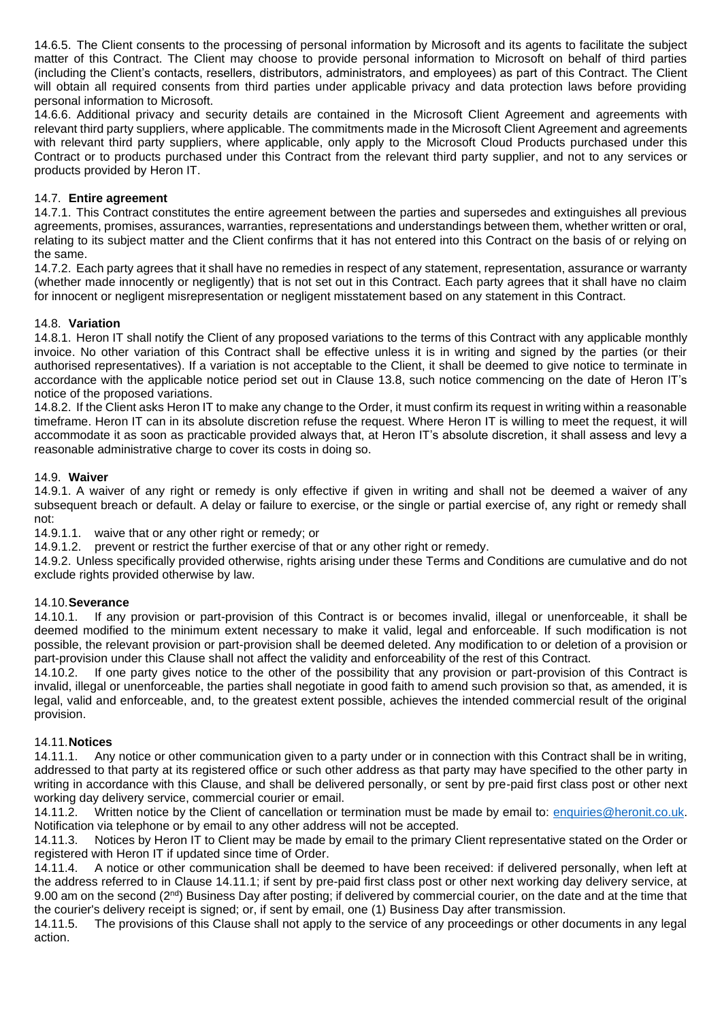14.6.5. The Client consents to the processing of personal information by Microsoft and its agents to facilitate the subject matter of this Contract. The Client may choose to provide personal information to Microsoft on behalf of third parties (including the Client's contacts, resellers, distributors, administrators, and employees) as part of this Contract. The Client will obtain all required consents from third parties under applicable privacy and data protection laws before providing personal information to Microsoft.

14.6.6. Additional privacy and security details are contained in the Microsoft Client Agreement and agreements with relevant third party suppliers, where applicable. The commitments made in the Microsoft Client Agreement and agreements with relevant third party suppliers, where applicable, only apply to the Microsoft Cloud Products purchased under this Contract or to products purchased under this Contract from the relevant third party supplier, and not to any services or products provided by Heron IT.

#### 14.7. **Entire agreement**

14.7.1. This Contract constitutes the entire agreement between the parties and supersedes and extinguishes all previous agreements, promises, assurances, warranties, representations and understandings between them, whether written or oral, relating to its subject matter and the Client confirms that it has not entered into this Contract on the basis of or relying on the same.

14.7.2. Each party agrees that it shall have no remedies in respect of any statement, representation, assurance or warranty (whether made innocently or negligently) that is not set out in this Contract. Each party agrees that it shall have no claim for innocent or negligent misrepresentation or negligent misstatement based on any statement in this Contract.

#### 14.8. **Variation**

14.8.1. Heron IT shall notify the Client of any proposed variations to the terms of this Contract with any applicable monthly invoice. No other variation of this Contract shall be effective unless it is in writing and signed by the parties (or their authorised representatives). If a variation is not acceptable to the Client, it shall be deemed to give notice to terminate in accordance with the applicable notice period set out in Clause 13.8, such notice commencing on the date of Heron IT's notice of the proposed variations.

14.8.2. If the Client asks Heron IT to make any change to the Order, it must confirm its request in writing within a reasonable timeframe. Heron IT can in its absolute discretion refuse the request. Where Heron IT is willing to meet the request, it will accommodate it as soon as practicable provided always that, at Heron IT's absolute discretion, it shall assess and levy a reasonable administrative charge to cover its costs in doing so.

#### 14.9. **Waiver**

14.9.1. A waiver of any right or remedy is only effective if given in writing and shall not be deemed a waiver of any subsequent breach or default. A delay or failure to exercise, or the single or partial exercise of, any right or remedy shall not:

14.9.1.1. waive that or any other right or remedy; or

14.9.1.2. prevent or restrict the further exercise of that or any other right or remedy.

14.9.2. Unless specifically provided otherwise, rights arising under these Terms and Conditions are cumulative and do not exclude rights provided otherwise by law.

#### 14.10.**Severance**

14.10.1. If any provision or part-provision of this Contract is or becomes invalid, illegal or unenforceable, it shall be deemed modified to the minimum extent necessary to make it valid, legal and enforceable. If such modification is not possible, the relevant provision or part-provision shall be deemed deleted. Any modification to or deletion of a provision or part-provision under this Clause shall not affect the validity and enforceability of the rest of this Contract.

14.10.2. If one party gives notice to the other of the possibility that any provision or part-provision of this Contract is invalid, illegal or unenforceable, the parties shall negotiate in good faith to amend such provision so that, as amended, it is legal, valid and enforceable, and, to the greatest extent possible, achieves the intended commercial result of the original provision.

#### 14.11.**Notices**

14.11.1. Any notice or other communication given to a party under or in connection with this Contract shall be in writing, addressed to that party at its registered office or such other address as that party may have specified to the other party in writing in accordance with this Clause, and shall be delivered personally, or sent by pre-paid first class post or other next working day delivery service, commercial courier or email.

14.11.2. Written notice by the Client of cancellation or termination must be made by email to: [enquiries@heronit.co.uk.](mailto:enquiries@heronit.co.uk) Notification via telephone or by email to any other address will not be accepted.

14.11.3. Notices by Heron IT to Client may be made by email to the primary Client representative stated on the Order or registered with Heron IT if updated since time of Order.

14.11.4. A notice or other communication shall be deemed to have been received: if delivered personally, when left at the address referred to in Clause 14.11.1; if sent by pre-paid first class post or other next working day delivery service, at 9.00 am on the second (2<sup>nd</sup>) Business Day after posting; if delivered by commercial courier, on the date and at the time that the courier's delivery receipt is signed; or, if sent by email, one (1) Business Day after transmission.

14.11.5. The provisions of this Clause shall not apply to the service of any proceedings or other documents in any legal action.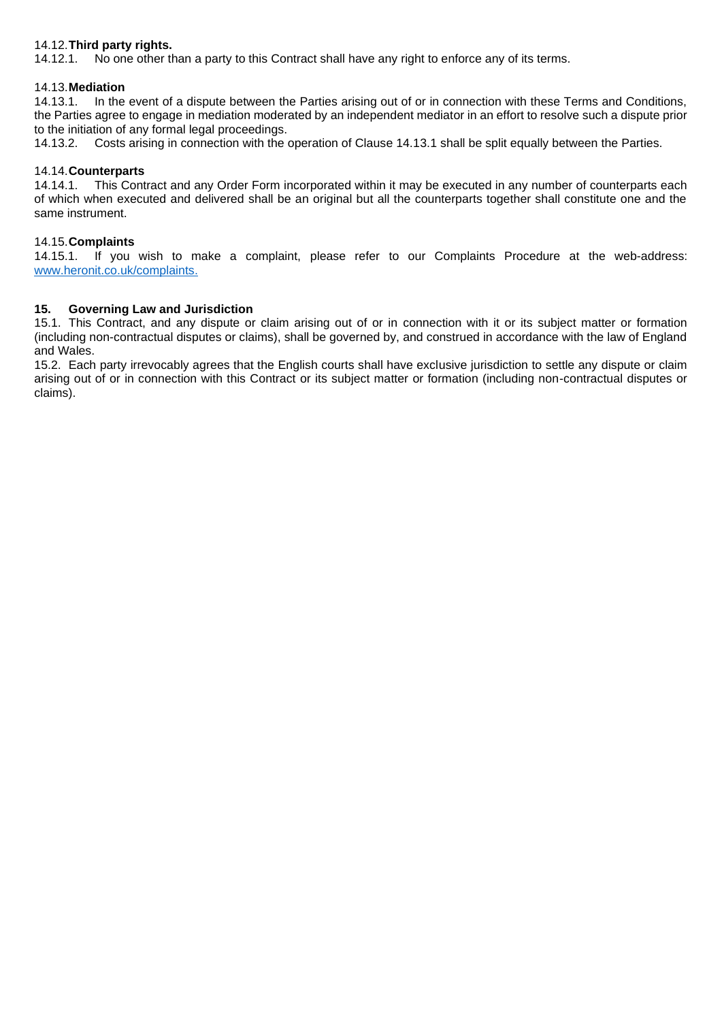#### 14.12.**Third party rights.**

14.12.1. No one other than a party to this Contract shall have any right to enforce any of its terms.

#### 14.13.**Mediation**

14.13.1. In the event of a dispute between the Parties arising out of or in connection with these Terms and Conditions, the Parties agree to engage in mediation moderated by an independent mediator in an effort to resolve such a dispute prior to the initiation of any formal legal proceedings.

14.13.2. Costs arising in connection with the operation of Clause 14.13.1 shall be split equally between the Parties.

#### 14.14.**Counterparts**

14.14.1. This Contract and any Order Form incorporated within it may be executed in any number of counterparts each of which when executed and delivered shall be an original but all the counterparts together shall constitute one and the same instrument.

#### 14.15.**Complaints**

14.15.1. If you wish to make a complaint, please refer to our Complaints Procedure at the web-address: [www.heronit.co.uk/complaints.](http://www.heronit.co.uk/complaints)

#### **15. Governing Law and Jurisdiction**

15.1. This Contract, and any dispute or claim arising out of or in connection with it or its subject matter or formation (including non-contractual disputes or claims), shall be governed by, and construed in accordance with the law of England and Wales.

15.2. Each party irrevocably agrees that the English courts shall have exclusive jurisdiction to settle any dispute or claim arising out of or in connection with this Contract or its subject matter or formation (including non-contractual disputes or claims).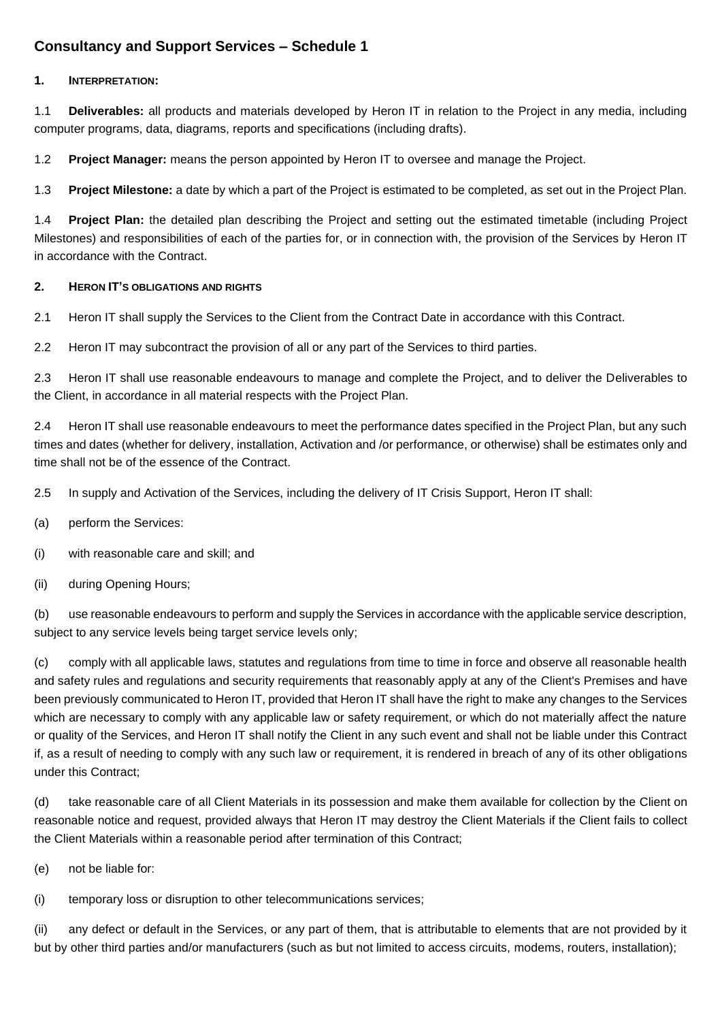## **Consultancy and Support Services – Schedule 1**

#### **1. INTERPRETATION:**

1.1 **Deliverables:** all products and materials developed by Heron IT in relation to the Project in any media, including computer programs, data, diagrams, reports and specifications (including drafts).

1.2 **Project Manager:** means the person appointed by Heron IT to oversee and manage the Project.

1.3 **Project Milestone:** a date by which a part of the Project is estimated to be completed, as set out in the Project Plan.

1.4 **Project Plan:** the detailed plan describing the Project and setting out the estimated timetable (including Project Milestones) and responsibilities of each of the parties for, or in connection with, the provision of the Services by Heron IT in accordance with the Contract.

#### **2. HERON IT'S OBLIGATIONS AND RIGHTS**

2.1 Heron IT shall supply the Services to the Client from the Contract Date in accordance with this Contract.

2.2 Heron IT may subcontract the provision of all or any part of the Services to third parties.

2.3 Heron IT shall use reasonable endeavours to manage and complete the Project, and to deliver the Deliverables to the Client, in accordance in all material respects with the Project Plan.

2.4 Heron IT shall use reasonable endeavours to meet the performance dates specified in the Project Plan, but any such times and dates (whether for delivery, installation, Activation and /or performance, or otherwise) shall be estimates only and time shall not be of the essence of the Contract.

2.5 In supply and Activation of the Services, including the delivery of IT Crisis Support, Heron IT shall:

- (a) perform the Services:
- (i) with reasonable care and skill; and
- (ii) during Opening Hours;

(b) use reasonable endeavours to perform and supply the Services in accordance with the applicable service description, subject to any service levels being target service levels only;

(c) comply with all applicable laws, statutes and regulations from time to time in force and observe all reasonable health and safety rules and regulations and security requirements that reasonably apply at any of the Client's Premises and have been previously communicated to Heron IT, provided that Heron IT shall have the right to make any changes to the Services which are necessary to comply with any applicable law or safety requirement, or which do not materially affect the nature or quality of the Services, and Heron IT shall notify the Client in any such event and shall not be liable under this Contract if, as a result of needing to comply with any such law or requirement, it is rendered in breach of any of its other obligations under this Contract;

(d) take reasonable care of all Client Materials in its possession and make them available for collection by the Client on reasonable notice and request, provided always that Heron IT may destroy the Client Materials if the Client fails to collect the Client Materials within a reasonable period after termination of this Contract;

(e) not be liable for:

(i) temporary loss or disruption to other telecommunications services;

(ii) any defect or default in the Services, or any part of them, that is attributable to elements that are not provided by it but by other third parties and/or manufacturers (such as but not limited to access circuits, modems, routers, installation);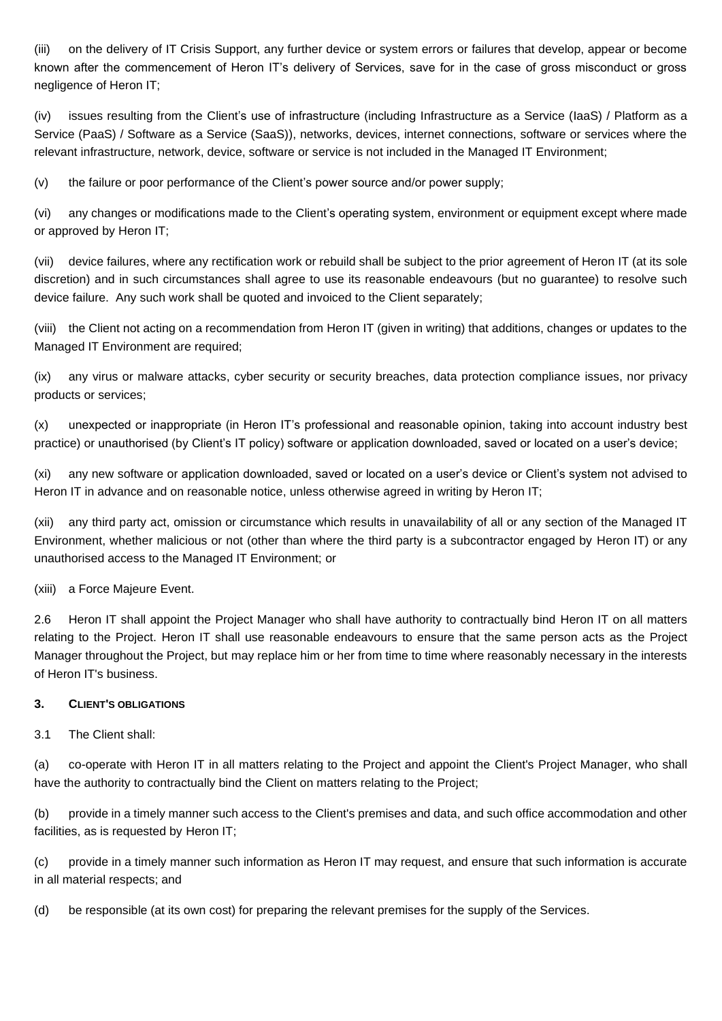(iii) on the delivery of IT Crisis Support, any further device or system errors or failures that develop, appear or become known after the commencement of Heron IT's delivery of Services, save for in the case of gross misconduct or gross negligence of Heron IT;

(iv) issues resulting from the Client's use of infrastructure (including Infrastructure as a Service (IaaS) / Platform as a Service (PaaS) / Software as a Service (SaaS)), networks, devices, internet connections, software or services where the relevant infrastructure, network, device, software or service is not included in the Managed IT Environment;

(v) the failure or poor performance of the Client's power source and/or power supply;

(vi) any changes or modifications made to the Client's operating system, environment or equipment except where made or approved by Heron IT;

(vii) device failures, where any rectification work or rebuild shall be subject to the prior agreement of Heron IT (at its sole discretion) and in such circumstances shall agree to use its reasonable endeavours (but no guarantee) to resolve such device failure. Any such work shall be quoted and invoiced to the Client separately;

(viii) the Client not acting on a recommendation from Heron IT (given in writing) that additions, changes or updates to the Managed IT Environment are required;

(ix) any virus or malware attacks, cyber security or security breaches, data protection compliance issues, nor privacy products or services;

(x) unexpected or inappropriate (in Heron IT's professional and reasonable opinion, taking into account industry best practice) or unauthorised (by Client's IT policy) software or application downloaded, saved or located on a user's device;

(xi) any new software or application downloaded, saved or located on a user's device or Client's system not advised to Heron IT in advance and on reasonable notice, unless otherwise agreed in writing by Heron IT;

(xii) any third party act, omission or circumstance which results in unavailability of all or any section of the Managed IT Environment, whether malicious or not (other than where the third party is a subcontractor engaged by Heron IT) or any unauthorised access to the Managed IT Environment; or

(xiii) a Force Majeure Event.

2.6 Heron IT shall appoint the Project Manager who shall have authority to contractually bind Heron IT on all matters relating to the Project. Heron IT shall use reasonable endeavours to ensure that the same person acts as the Project Manager throughout the Project, but may replace him or her from time to time where reasonably necessary in the interests of Heron IT's business.

#### **3. CLIENT'S OBLIGATIONS**

3.1 The Client shall:

(a) co-operate with Heron IT in all matters relating to the Project and appoint the Client's Project Manager, who shall have the authority to contractually bind the Client on matters relating to the Project;

(b) provide in a timely manner such access to the Client's premises and data, and such office accommodation and other facilities, as is requested by Heron IT;

(c) provide in a timely manner such information as Heron IT may request, and ensure that such information is accurate in all material respects; and

(d) be responsible (at its own cost) for preparing the relevant premises for the supply of the Services.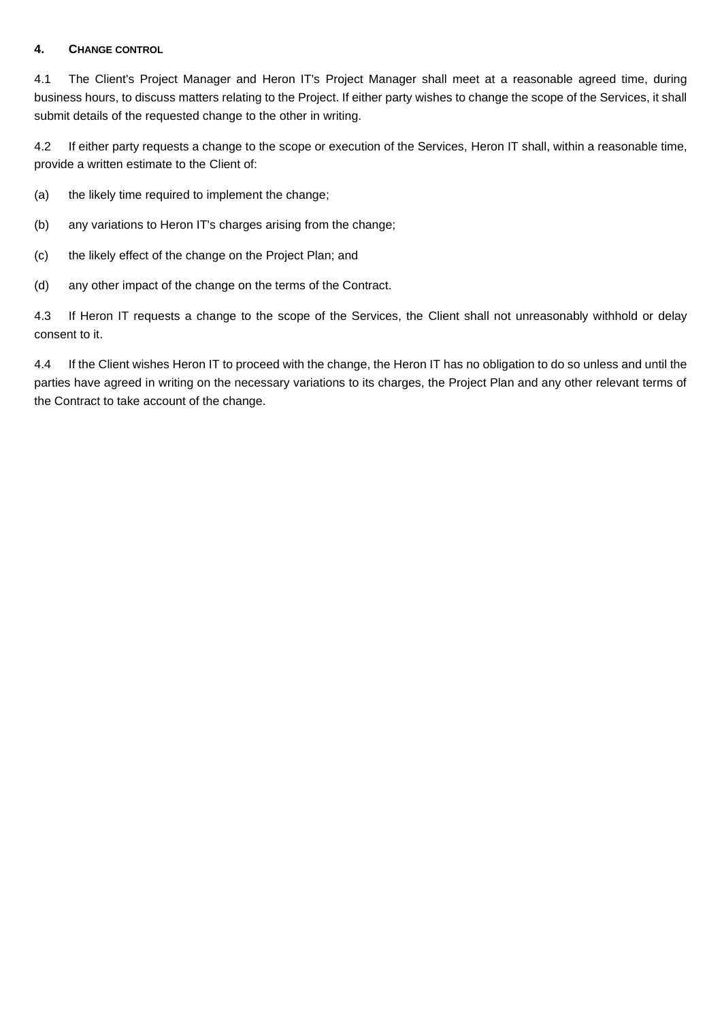#### **4. CHANGE CONTROL**

4.1 The Client's Project Manager and Heron IT's Project Manager shall meet at a reasonable agreed time, during business hours, to discuss matters relating to the Project. If either party wishes to change the scope of the Services, it shall submit details of the requested change to the other in writing.

4.2 If either party requests a change to the scope or execution of the Services, Heron IT shall, within a reasonable time, provide a written estimate to the Client of:

- (a) the likely time required to implement the change;
- (b) any variations to Heron IT's charges arising from the change;
- (c) the likely effect of the change on the Project Plan; and
- (d) any other impact of the change on the terms of the Contract.

4.3 If Heron IT requests a change to the scope of the Services, the Client shall not unreasonably withhold or delay consent to it.

4.4 If the Client wishes Heron IT to proceed with the change, the Heron IT has no obligation to do so unless and until the parties have agreed in writing on the necessary variations to its charges, the Project Plan and any other relevant terms of the Contract to take account of the change.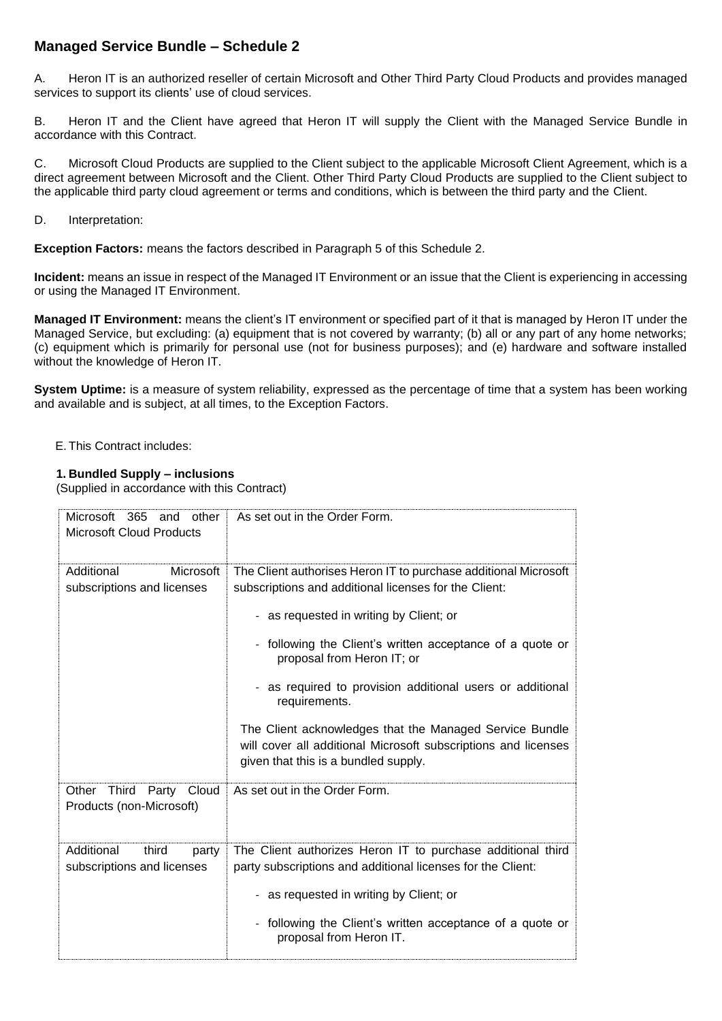## **Managed Service Bundle – Schedule 2**

A. Heron IT is an authorized reseller of certain Microsoft and Other Third Party Cloud Products and provides managed services to support its clients' use of cloud services.

B. Heron IT and the Client have agreed that Heron IT will supply the Client with the Managed Service Bundle in accordance with this Contract.

C. Microsoft Cloud Products are supplied to the Client subject to the applicable Microsoft Client Agreement, which is a direct agreement between Microsoft and the Client. Other Third Party Cloud Products are supplied to the Client subject to the applicable third party cloud agreement or terms and conditions, which is between the third party and the Client.

D. Interpretation:

**Exception Factors:** means the factors described in Paragraph 5 of this Schedule 2.

**Incident:** means an issue in respect of the Managed IT Environment or an issue that the Client is experiencing in accessing or using the Managed IT Environment.

**Managed IT Environment:** means the client's IT environment or specified part of it that is managed by Heron IT under the Managed Service, but excluding: (a) equipment that is not covered by warranty; (b) all or any part of any home networks; (c) equipment which is primarily for personal use (not for business purposes); and (e) hardware and software installed without the knowledge of Heron IT.

**System Uptime:** is a measure of system reliability, expressed as the percentage of time that a system has been working and available and is subject, at all times, to the Exception Factors.

E. This Contract includes:

#### **1. Bundled Supply – inclusions**

(Supplied in accordance with this Contract)

| Microsoft 365 and other<br><b>Microsoft Cloud Products</b> | As set out in the Order Form.                                                                                                                                                                                                                                                                                                                                                                                                                                                                                     |
|------------------------------------------------------------|-------------------------------------------------------------------------------------------------------------------------------------------------------------------------------------------------------------------------------------------------------------------------------------------------------------------------------------------------------------------------------------------------------------------------------------------------------------------------------------------------------------------|
| Additional<br>Microsoft<br>subscriptions and licenses      | The Client authorises Heron IT to purchase additional Microsoft<br>subscriptions and additional licenses for the Client:<br>- as requested in writing by Client; or<br>- following the Client's written acceptance of a quote or<br>proposal from Heron IT; or<br>- as required to provision additional users or additional<br>requirements.<br>The Client acknowledges that the Managed Service Bundle<br>will cover all additional Microsoft subscriptions and licenses<br>given that this is a bundled supply. |
| Other Third Party Cloud<br>Products (non-Microsoft)        | As set out in the Order Form.                                                                                                                                                                                                                                                                                                                                                                                                                                                                                     |
| Additional<br>third<br>party<br>subscriptions and licenses | The Client authorizes Heron IT to purchase additional third<br>party subscriptions and additional licenses for the Client:<br>- as requested in writing by Client; or<br>- following the Client's written acceptance of a quote or<br>proposal from Heron IT.                                                                                                                                                                                                                                                     |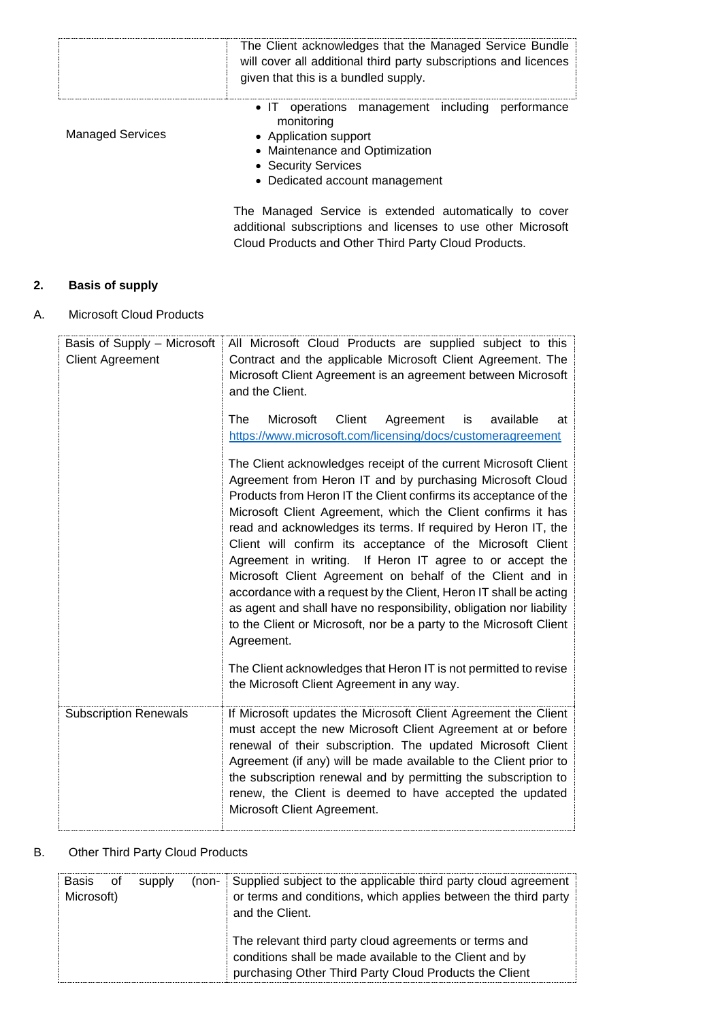|                         | The Client acknowledges that the Managed Service Bundle<br>will cover all additional third party subscriptions and licences<br>given that this is a bundled supply.                |
|-------------------------|------------------------------------------------------------------------------------------------------------------------------------------------------------------------------------|
| <b>Managed Services</b> | • IT operations management including performance<br>monitoring<br>• Application support<br>• Maintenance and Optimization<br>• Security Services<br>• Dedicated account management |
|                         | The Managed Service is extended automatically to cover<br>additional subscriptions and licenses to use other Microsoft<br>Cloud Products and Other Third Party Cloud Products.     |

## **2. Basis of supply**

A. Microsoft Cloud Products

| Basis of Supply - Microsoft<br><b>Client Agreement</b> | All Microsoft Cloud Products are supplied subject to this<br>Contract and the applicable Microsoft Client Agreement. The<br>Microsoft Client Agreement is an agreement between Microsoft<br>and the Client.<br>The<br>Microsoft<br>Client<br>Agreement<br>available<br>is<br>at<br>https://www.microsoft.com/licensing/docs/customeragreement<br>The Client acknowledges receipt of the current Microsoft Client<br>Agreement from Heron IT and by purchasing Microsoft Cloud<br>Products from Heron IT the Client confirms its acceptance of the<br>Microsoft Client Agreement, which the Client confirms it has<br>read and acknowledges its terms. If required by Heron IT, the<br>Client will confirm its acceptance of the Microsoft Client<br>Agreement in writing.<br>If Heron IT agree to or accept the<br>Microsoft Client Agreement on behalf of the Client and in<br>accordance with a request by the Client, Heron IT shall be acting<br>as agent and shall have no responsibility, obligation nor liability<br>to the Client or Microsoft, nor be a party to the Microsoft Client<br>Agreement. |
|--------------------------------------------------------|--------------------------------------------------------------------------------------------------------------------------------------------------------------------------------------------------------------------------------------------------------------------------------------------------------------------------------------------------------------------------------------------------------------------------------------------------------------------------------------------------------------------------------------------------------------------------------------------------------------------------------------------------------------------------------------------------------------------------------------------------------------------------------------------------------------------------------------------------------------------------------------------------------------------------------------------------------------------------------------------------------------------------------------------------------------------------------------------------------------|
|                                                        | The Client acknowledges that Heron IT is not permitted to revise<br>the Microsoft Client Agreement in any way.                                                                                                                                                                                                                                                                                                                                                                                                                                                                                                                                                                                                                                                                                                                                                                                                                                                                                                                                                                                               |
| <b>Subscription Renewals</b>                           | If Microsoft updates the Microsoft Client Agreement the Client<br>must accept the new Microsoft Client Agreement at or before<br>renewal of their subscription. The updated Microsoft Client<br>Agreement (if any) will be made available to the Client prior to<br>the subscription renewal and by permitting the subscription to<br>renew, the Client is deemed to have accepted the updated<br>Microsoft Client Agreement.                                                                                                                                                                                                                                                                                                                                                                                                                                                                                                                                                                                                                                                                                |

## B. Other Third Party Cloud Products

| Basis of   | (non- Supplied subject to the applicable third party cloud agreement |  |                                                                                                                                                                             |
|------------|----------------------------------------------------------------------|--|-----------------------------------------------------------------------------------------------------------------------------------------------------------------------------|
| supply     | or terms and conditions, which applies between the third party       |  |                                                                                                                                                                             |
| Microsoft) | and the Client.                                                      |  |                                                                                                                                                                             |
|            |                                                                      |  | The relevant third party cloud agreements or terms and<br>conditions shall be made available to the Client and by<br>purchasing Other Third Party Cloud Products the Client |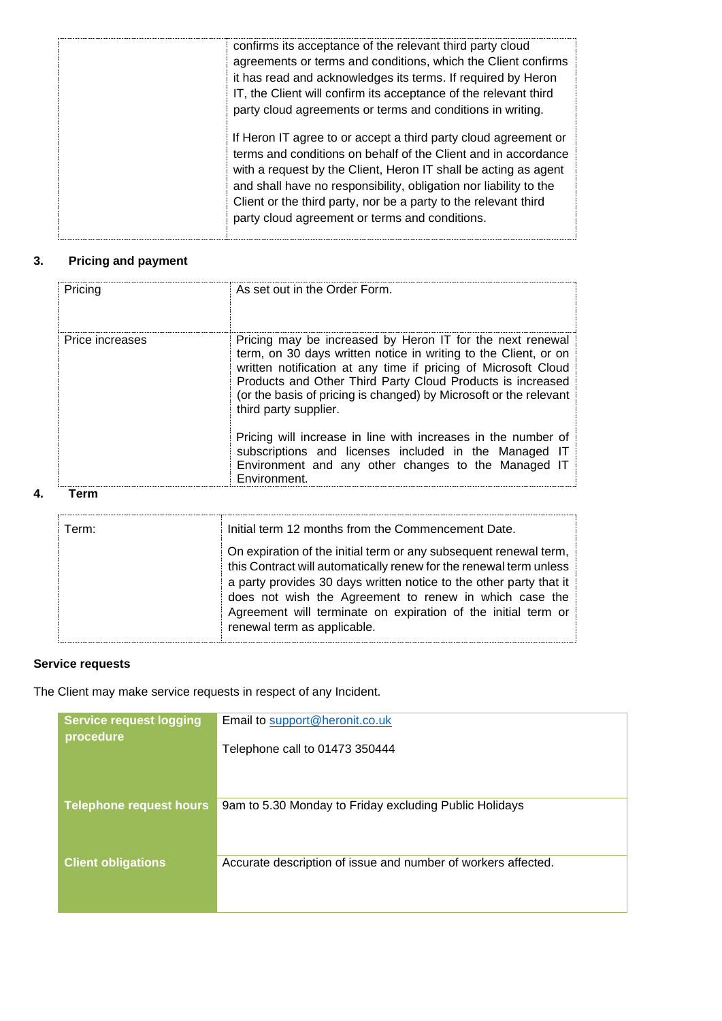| confirms its acceptance of the relevant third party cloud<br>agreements or terms and conditions, which the Client confirms<br>it has read and acknowledges its terms. If required by Heron<br>IT, the Client will confirm its acceptance of the relevant third<br>party cloud agreements or terms and conditions in writing.                                                                   |
|------------------------------------------------------------------------------------------------------------------------------------------------------------------------------------------------------------------------------------------------------------------------------------------------------------------------------------------------------------------------------------------------|
| If Heron IT agree to or accept a third party cloud agreement or<br>terms and conditions on behalf of the Client and in accordance<br>with a request by the Client, Heron IT shall be acting as agent<br>and shall have no responsibility, obligation nor liability to the<br>Client or the third party, nor be a party to the relevant third<br>party cloud agreement or terms and conditions. |

## **3. Pricing and payment**

| Pricing                 | As set out in the Order Form.                                                                                                                                                                                                                                                                                                                              |
|-------------------------|------------------------------------------------------------------------------------------------------------------------------------------------------------------------------------------------------------------------------------------------------------------------------------------------------------------------------------------------------------|
| Price increases<br>Term | Pricing may be increased by Heron IT for the next renewal<br>term, on 30 days written notice in writing to the Client, or on<br>written notification at any time if pricing of Microsoft Cloud<br>Products and Other Third Party Cloud Products is increased<br>(or the basis of pricing is changed) by Microsoft or the relevant<br>third party supplier. |
|                         | Pricing will increase in line with increases in the number of<br>subscriptions and licenses included in the Managed IT<br>Environment and any other changes to the Managed IT<br>Environment.                                                                                                                                                              |

| Term: | Initial term 12 months from the Commencement Date.                                                                                                                                                                                                                                                                                                                      |
|-------|-------------------------------------------------------------------------------------------------------------------------------------------------------------------------------------------------------------------------------------------------------------------------------------------------------------------------------------------------------------------------|
|       | On expiration of the initial term or any subsequent renewal term,<br>this Contract will automatically renew for the renewal term unless<br>a party provides 30 days written notice to the other party that it<br>does not wish the Agreement to renew in which case the<br>Agreement will terminate on expiration of the initial term or<br>renewal term as applicable. |

## **Service requests**

**4. Term** 

The Client may make service requests in respect of any Incident.

| <b>Service request logging</b><br>procedure | Email to support@heronit.co.uk                                |
|---------------------------------------------|---------------------------------------------------------------|
|                                             | Telephone call to 01473 350444                                |
|                                             |                                                               |
| <b>Telephone request hours</b>              | 9am to 5.30 Monday to Friday excluding Public Holidays        |
|                                             |                                                               |
| <b>Client obligations</b>                   | Accurate description of issue and number of workers affected. |
|                                             |                                                               |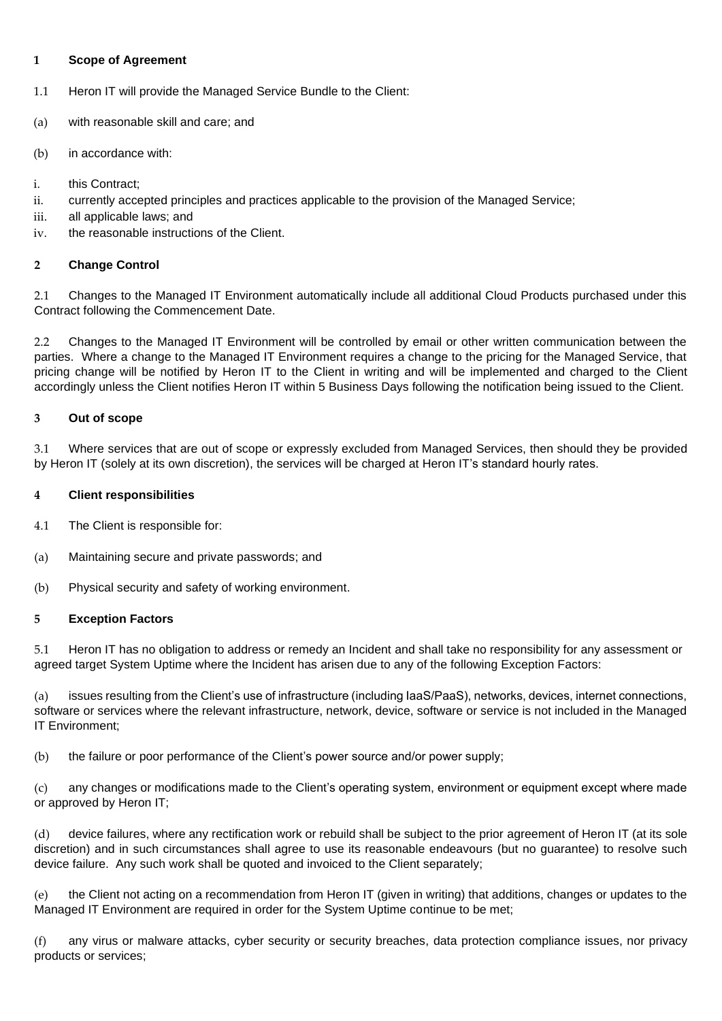#### **1 Scope of Agreement**

- 1.1 Heron IT will provide the Managed Service Bundle to the Client:
- (a) with reasonable skill and care; and
- (b) in accordance with:
- i. this Contract;
- ii. currently accepted principles and practices applicable to the provision of the Managed Service;
- iii. all applicable laws; and
- iv. the reasonable instructions of the Client.

#### **2 Change Control**

2.1 Changes to the Managed IT Environment automatically include all additional Cloud Products purchased under this Contract following the Commencement Date.

2.2 Changes to the Managed IT Environment will be controlled by email or other written communication between the parties. Where a change to the Managed IT Environment requires a change to the pricing for the Managed Service, that pricing change will be notified by Heron IT to the Client in writing and will be implemented and charged to the Client accordingly unless the Client notifies Heron IT within 5 Business Days following the notification being issued to the Client.

#### **3 Out of scope**

3.1 Where services that are out of scope or expressly excluded from Managed Services, then should they be provided by Heron IT (solely at its own discretion), the services will be charged at Heron IT's standard hourly rates.

#### **4 Client responsibilities**

- 4.1 The Client is responsible for:
- (a) Maintaining secure and private passwords; and
- (b) Physical security and safety of working environment.

#### **5 Exception Factors**

5.1 Heron IT has no obligation to address or remedy an Incident and shall take no responsibility for any assessment or agreed target System Uptime where the Incident has arisen due to any of the following Exception Factors:

(a) issues resulting from the Client's use of infrastructure (including IaaS/PaaS), networks, devices, internet connections, software or services where the relevant infrastructure, network, device, software or service is not included in the Managed IT Environment;

(b) the failure or poor performance of the Client's power source and/or power supply;

(c) any changes or modifications made to the Client's operating system, environment or equipment except where made or approved by Heron IT;

(d) device failures, where any rectification work or rebuild shall be subject to the prior agreement of Heron IT (at its sole discretion) and in such circumstances shall agree to use its reasonable endeavours (but no guarantee) to resolve such device failure. Any such work shall be quoted and invoiced to the Client separately;

(e) the Client not acting on a recommendation from Heron IT (given in writing) that additions, changes or updates to the Managed IT Environment are required in order for the System Uptime continue to be met;

(f) any virus or malware attacks, cyber security or security breaches, data protection compliance issues, nor privacy products or services;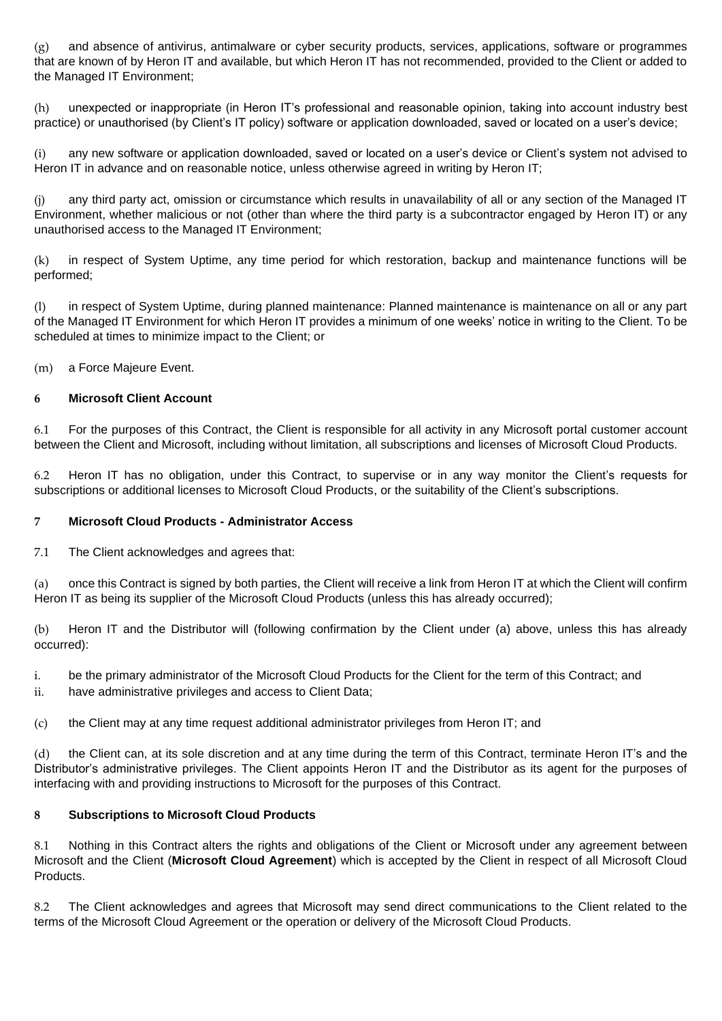(g) and absence of antivirus, antimalware or cyber security products, services, applications, software or programmes that are known of by Heron IT and available, but which Heron IT has not recommended, provided to the Client or added to the Managed IT Environment;

(h) unexpected or inappropriate (in Heron IT's professional and reasonable opinion, taking into account industry best practice) or unauthorised (by Client's IT policy) software or application downloaded, saved or located on a user's device;

(i) any new software or application downloaded, saved or located on a user's device or Client's system not advised to Heron IT in advance and on reasonable notice, unless otherwise agreed in writing by Heron IT;

(j) any third party act, omission or circumstance which results in unavailability of all or any section of the Managed IT Environment, whether malicious or not (other than where the third party is a subcontractor engaged by Heron IT) or any unauthorised access to the Managed IT Environment;

(k) in respect of System Uptime, any time period for which restoration, backup and maintenance functions will be performed;

(l) in respect of System Uptime, during planned maintenance: Planned maintenance is maintenance on all or any part of the Managed IT Environment for which Heron IT provides a minimum of one weeks' notice in writing to the Client. To be scheduled at times to minimize impact to the Client; or

(m) a Force Majeure Event.

#### **6 Microsoft Client Account**

6.1 For the purposes of this Contract, the Client is responsible for all activity in any Microsoft portal customer account between the Client and Microsoft, including without limitation, all subscriptions and licenses of Microsoft Cloud Products.

6.2 Heron IT has no obligation, under this Contract, to supervise or in any way monitor the Client's requests for subscriptions or additional licenses to Microsoft Cloud Products, or the suitability of the Client's subscriptions.

#### **7 Microsoft Cloud Products - Administrator Access**

7.1 The Client acknowledges and agrees that:

(a) once this Contract is signed by both parties, the Client will receive a link from Heron IT at which the Client will confirm Heron IT as being its supplier of the Microsoft Cloud Products (unless this has already occurred);

(b) Heron IT and the Distributor will (following confirmation by the Client under (a) above, unless this has already occurred):

i. be the primary administrator of the Microsoft Cloud Products for the Client for the term of this Contract; and

ii. have administrative privileges and access to Client Data;

(c) the Client may at any time request additional administrator privileges from Heron IT; and

(d) the Client can, at its sole discretion and at any time during the term of this Contract, terminate Heron IT's and the Distributor's administrative privileges. The Client appoints Heron IT and the Distributor as its agent for the purposes of interfacing with and providing instructions to Microsoft for the purposes of this Contract.

#### **8 Subscriptions to Microsoft Cloud Products**

8.1 Nothing in this Contract alters the rights and obligations of the Client or Microsoft under any agreement between Microsoft and the Client (**Microsoft Cloud Agreement**) which is accepted by the Client in respect of all Microsoft Cloud Products.

8.2 The Client acknowledges and agrees that Microsoft may send direct communications to the Client related to the terms of the Microsoft Cloud Agreement or the operation or delivery of the Microsoft Cloud Products.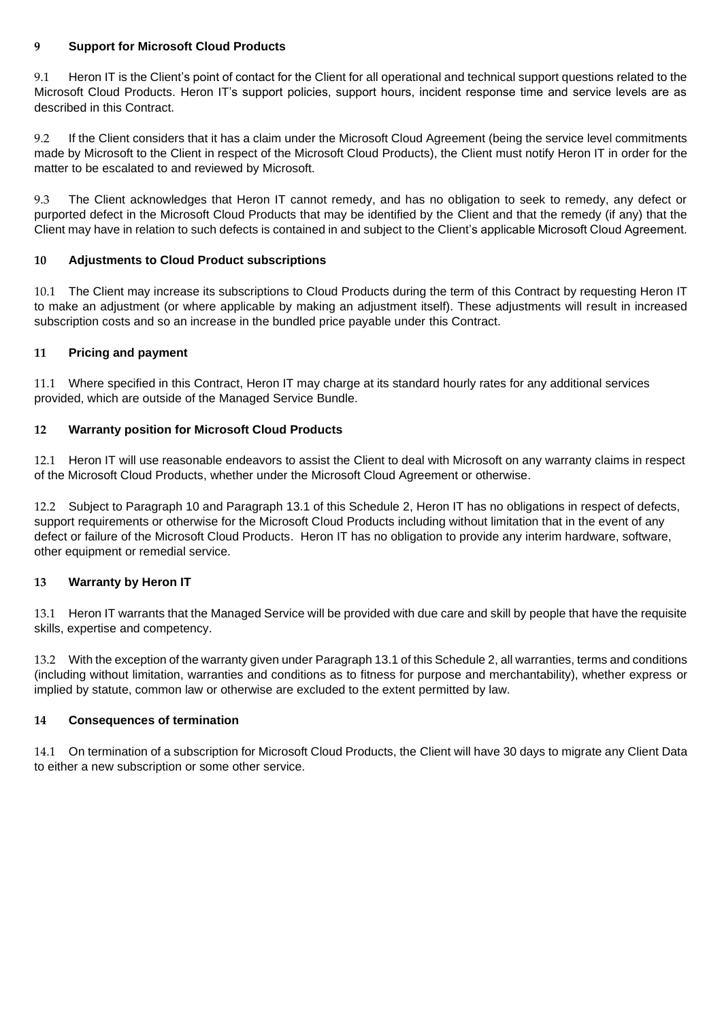#### **9 Support for Microsoft Cloud Products**

9.1 Heron IT is the Client's point of contact for the Client for all operational and technical support questions related to the Microsoft Cloud Products. Heron IT's support policies, support hours, incident response time and service levels are as described in this Contract.

9.2 If the Client considers that it has a claim under the Microsoft Cloud Agreement (being the service level commitments made by Microsoft to the Client in respect of the Microsoft Cloud Products), the Client must notify Heron IT in order for the matter to be escalated to and reviewed by Microsoft.

9.3 The Client acknowledges that Heron IT cannot remedy, and has no obligation to seek to remedy, any defect or purported defect in the Microsoft Cloud Products that may be identified by the Client and that the remedy (if any) that the Client may have in relation to such defects is contained in and subject to the Client's applicable Microsoft Cloud Agreement.

#### **10 Adjustments to Cloud Product subscriptions**

10.1 The Client may increase its subscriptions to Cloud Products during the term of this Contract by requesting Heron IT to make an adjustment (or where applicable by making an adjustment itself). These adjustments will result in increased subscription costs and so an increase in the bundled price payable under this Contract.

#### **11 Pricing and payment**

11.1 Where specified in this Contract, Heron IT may charge at its standard hourly rates for any additional services provided, which are outside of the Managed Service Bundle.

#### **12 Warranty position for Microsoft Cloud Products**

12.1 Heron IT will use reasonable endeavors to assist the Client to deal with Microsoft on any warranty claims in respect of the Microsoft Cloud Products, whether under the Microsoft Cloud Agreement or otherwise.

12.2 Subject to Paragraph 10 and Paragraph 13.1 of this Schedule 2, Heron IT has no obligations in respect of defects, support requirements or otherwise for the Microsoft Cloud Products including without limitation that in the event of any defect or failure of the Microsoft Cloud Products. Heron IT has no obligation to provide any interim hardware, software, other equipment or remedial service.

#### **13 Warranty by Heron IT**

13.1 Heron IT warrants that the Managed Service will be provided with due care and skill by people that have the requisite skills, expertise and competency.

13.2 With the exception of the warranty given under Paragraph 13.1 of this Schedule 2, all warranties, terms and conditions (including without limitation, warranties and conditions as to fitness for purpose and merchantability), whether express or implied by statute, common law or otherwise are excluded to the extent permitted by law.

#### **14 Consequences of termination**

14.1 On termination of a subscription for Microsoft Cloud Products, the Client will have 30 days to migrate any Client Data to either a new subscription or some other service.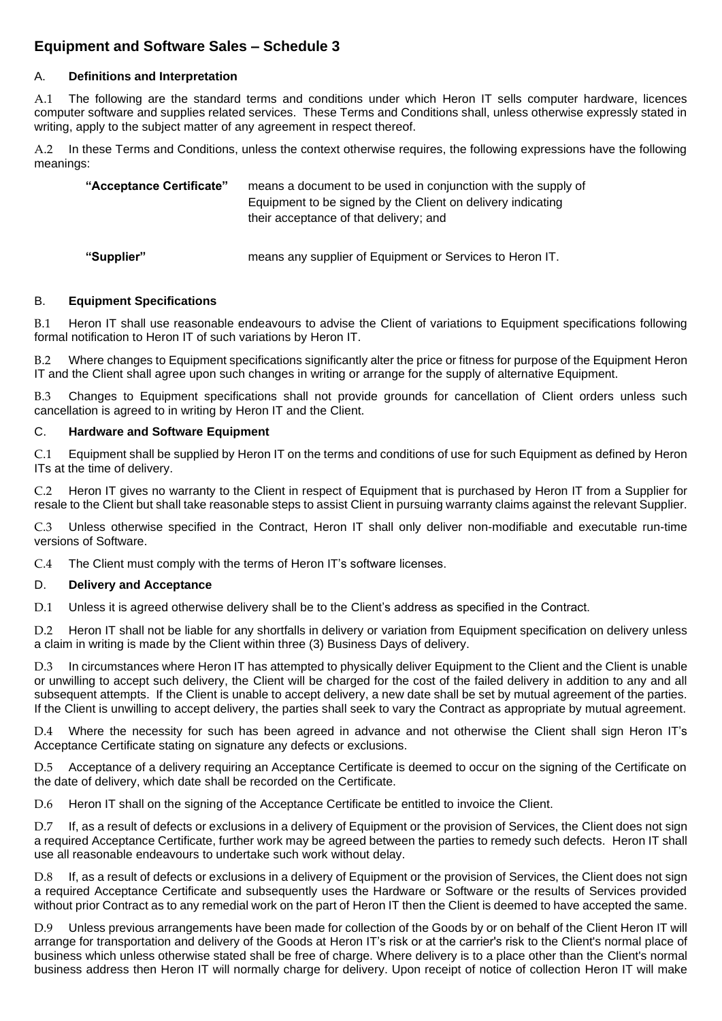## **Equipment and Software Sales – Schedule 3**

#### A. **Definitions and Interpretation**

A.1 The following are the standard terms and conditions under which Heron IT sells computer hardware, licences computer software and supplies related services. These Terms and Conditions shall, unless otherwise expressly stated in writing, apply to the subject matter of any agreement in respect thereof.

In these Terms and Conditions, unless the context otherwise requires, the following expressions have the following meanings:

| "Acceptance Certificate" | means a document to be used in conjunction with the supply of<br>Equipment to be signed by the Client on delivery indicating<br>their acceptance of that delivery; and |
|--------------------------|------------------------------------------------------------------------------------------------------------------------------------------------------------------------|
| "Supplier"               | means any supplier of Equipment or Services to Heron IT.                                                                                                               |

#### B. **Equipment Specifications**

B.1 Heron IT shall use reasonable endeavours to advise the Client of variations to Equipment specifications following formal notification to Heron IT of such variations by Heron IT.

B.2 Where changes to Equipment specifications significantly alter the price or fitness for purpose of the Equipment Heron IT and the Client shall agree upon such changes in writing or arrange for the supply of alternative Equipment.

B.3 Changes to Equipment specifications shall not provide grounds for cancellation of Client orders unless such cancellation is agreed to in writing by Heron IT and the Client.

#### C. **Hardware and Software Equipment**

C.1 Equipment shall be supplied by Heron IT on the terms and conditions of use for such Equipment as defined by Heron ITs at the time of delivery.

C.2 Heron IT gives no warranty to the Client in respect of Equipment that is purchased by Heron IT from a Supplier for resale to the Client but shall take reasonable steps to assist Client in pursuing warranty claims against the relevant Supplier.

C.3 Unless otherwise specified in the Contract, Heron IT shall only deliver non-modifiable and executable run-time versions of Software.

C.4 The Client must comply with the terms of Heron IT's software licenses.

#### D. **Delivery and Acceptance**

D.1 Unless it is agreed otherwise delivery shall be to the Client's address as specified in the Contract.

D.2 Heron IT shall not be liable for any shortfalls in delivery or variation from Equipment specification on delivery unless a claim in writing is made by the Client within three (3) Business Days of delivery.

In circumstances where Heron IT has attempted to physically deliver Equipment to the Client and the Client is unable or unwilling to accept such delivery, the Client will be charged for the cost of the failed delivery in addition to any and all subsequent attempts. If the Client is unable to accept delivery, a new date shall be set by mutual agreement of the parties. If the Client is unwilling to accept delivery, the parties shall seek to vary the Contract as appropriate by mutual agreement.

D.4 Where the necessity for such has been agreed in advance and not otherwise the Client shall sign Heron IT's Acceptance Certificate stating on signature any defects or exclusions.

D.5 Acceptance of a delivery requiring an Acceptance Certificate is deemed to occur on the signing of the Certificate on the date of delivery, which date shall be recorded on the Certificate.

D.6 Heron IT shall on the signing of the Acceptance Certificate be entitled to invoice the Client.

D.7 If, as a result of defects or exclusions in a delivery of Equipment or the provision of Services, the Client does not sign a required Acceptance Certificate, further work may be agreed between the parties to remedy such defects. Heron IT shall use all reasonable endeavours to undertake such work without delay.

D.8 If, as a result of defects or exclusions in a delivery of Equipment or the provision of Services, the Client does not sign a required Acceptance Certificate and subsequently uses the Hardware or Software or the results of Services provided without prior Contract as to any remedial work on the part of Heron IT then the Client is deemed to have accepted the same.

D.9 Unless previous arrangements have been made for collection of the Goods by or on behalf of the Client Heron IT will arrange for transportation and delivery of the Goods at Heron IT's risk or at the carrier's risk to the Client's normal place of business which unless otherwise stated shall be free of charge. Where delivery is to a place other than the Client's normal business address then Heron IT will normally charge for delivery. Upon receipt of notice of collection Heron IT will make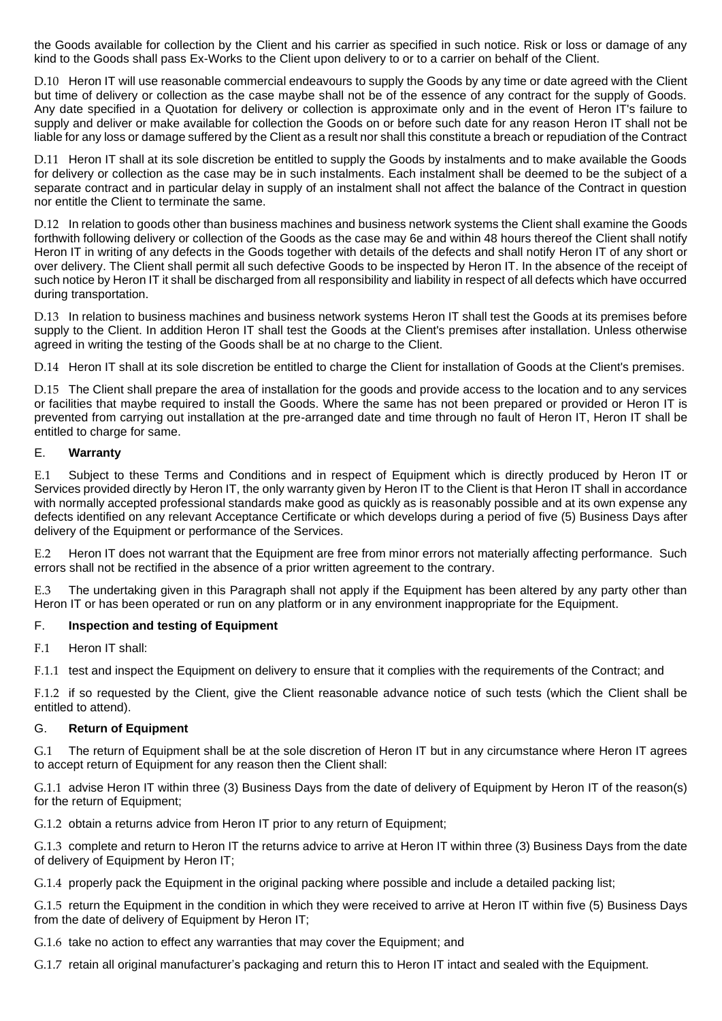the Goods available for collection by the Client and his carrier as specified in such notice. Risk or loss or damage of any kind to the Goods shall pass Ex-Works to the Client upon delivery to or to a carrier on behalf of the Client.

D.10 Heron IT will use reasonable commercial endeavours to supply the Goods by any time or date agreed with the Client but time of delivery or collection as the case maybe shall not be of the essence of any contract for the supply of Goods. Any date specified in a Quotation for delivery or collection is approximate only and in the event of Heron IT's failure to supply and deliver or make available for collection the Goods on or before such date for any reason Heron IT shall not be liable for any loss or damage suffered by the Client as a result nor shall this constitute a breach or repudiation of the Contract

D.11 Heron IT shall at its sole discretion be entitled to supply the Goods by instalments and to make available the Goods for delivery or collection as the case may be in such instalments. Each instalment shall be deemed to be the subject of a separate contract and in particular delay in supply of an instalment shall not affect the balance of the Contract in question nor entitle the Client to terminate the same.

D.12 In relation to goods other than business machines and business network systems the Client shall examine the Goods forthwith following delivery or collection of the Goods as the case may 6e and within 48 hours thereof the Client shall notify Heron IT in writing of any defects in the Goods together with details of the defects and shall notify Heron IT of any short or over delivery. The Client shall permit all such defective Goods to be inspected by Heron IT. In the absence of the receipt of such notice by Heron IT it shall be discharged from all responsibility and liability in respect of all defects which have occurred during transportation.

D.13 In relation to business machines and business network systems Heron IT shall test the Goods at its premises before supply to the Client. In addition Heron IT shall test the Goods at the Client's premises after installation. Unless otherwise agreed in writing the testing of the Goods shall be at no charge to the Client.

D.14 Heron IT shall at its sole discretion be entitled to charge the Client for installation of Goods at the Client's premises.

D.15 The Client shall prepare the area of installation for the goods and provide access to the location and to any services or facilities that maybe required to install the Goods. Where the same has not been prepared or provided or Heron IT is prevented from carrying out installation at the pre-arranged date and time through no fault of Heron IT, Heron IT shall be entitled to charge for same.

#### E. **Warranty**

E.1 Subject to these Terms and Conditions and in respect of Equipment which is directly produced by Heron IT or Services provided directly by Heron IT, the only warranty given by Heron IT to the Client is that Heron IT shall in accordance with normally accepted professional standards make good as quickly as is reasonably possible and at its own expense any defects identified on any relevant Acceptance Certificate or which develops during a period of five (5) Business Days after delivery of the Equipment or performance of the Services.

E.2 Heron IT does not warrant that the Equipment are free from minor errors not materially affecting performance. Such errors shall not be rectified in the absence of a prior written agreement to the contrary.

E.3 The undertaking given in this Paragraph shall not apply if the Equipment has been altered by any party other than Heron IT or has been operated or run on any platform or in any environment inappropriate for the Equipment.

#### F. **Inspection and testing of Equipment**

F.1 Heron IT shall:

F.1.1 test and inspect the Equipment on delivery to ensure that it complies with the requirements of the Contract; and

F.1.2 if so requested by the Client, give the Client reasonable advance notice of such tests (which the Client shall be entitled to attend).

#### G. **Return of Equipment**

G.1 The return of Equipment shall be at the sole discretion of Heron IT but in any circumstance where Heron IT agrees to accept return of Equipment for any reason then the Client shall:

G.1.1 advise Heron IT within three (3) Business Days from the date of delivery of Equipment by Heron IT of the reason(s) for the return of Equipment;

G.1.2 obtain a returns advice from Heron IT prior to any return of Equipment;

G.1.3 complete and return to Heron IT the returns advice to arrive at Heron IT within three (3) Business Days from the date of delivery of Equipment by Heron IT;

G.1.4 properly pack the Equipment in the original packing where possible and include a detailed packing list;

G.1.5 return the Equipment in the condition in which they were received to arrive at Heron IT within five (5) Business Days from the date of delivery of Equipment by Heron IT;

G.1.6 take no action to effect any warranties that may cover the Equipment; and

G.1.7 retain all original manufacturer's packaging and return this to Heron IT intact and sealed with the Equipment.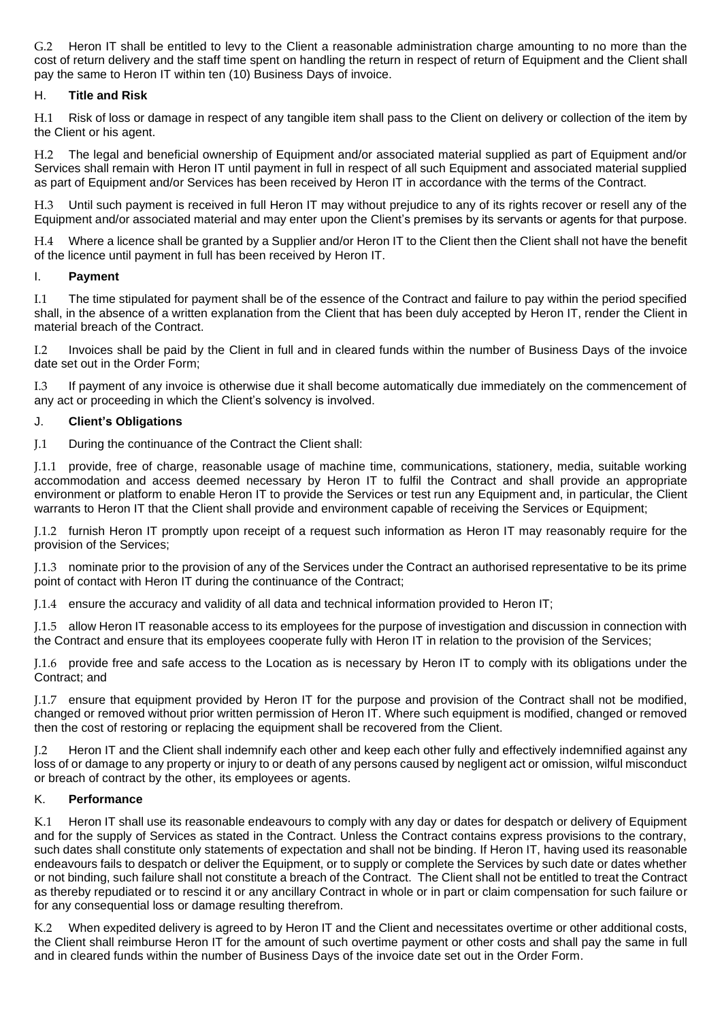G.2 Heron IT shall be entitled to levy to the Client a reasonable administration charge amounting to no more than the cost of return delivery and the staff time spent on handling the return in respect of return of Equipment and the Client shall pay the same to Heron IT within ten (10) Business Days of invoice.

#### H. **Title and Risk**

H.1 Risk of loss or damage in respect of any tangible item shall pass to the Client on delivery or collection of the item by the Client or his agent.

H.2 The legal and beneficial ownership of Equipment and/or associated material supplied as part of Equipment and/or Services shall remain with Heron IT until payment in full in respect of all such Equipment and associated material supplied as part of Equipment and/or Services has been received by Heron IT in accordance with the terms of the Contract.

H.3 Until such payment is received in full Heron IT may without prejudice to any of its rights recover or resell any of the Equipment and/or associated material and may enter upon the Client's premises by its servants or agents for that purpose.

H.4 Where a licence shall be granted by a Supplier and/or Heron IT to the Client then the Client shall not have the benefit of the licence until payment in full has been received by Heron IT.

#### I. **Payment**

I.1 The time stipulated for payment shall be of the essence of the Contract and failure to pay within the period specified shall, in the absence of a written explanation from the Client that has been duly accepted by Heron IT, render the Client in material breach of the Contract.

I.2 Invoices shall be paid by the Client in full and in cleared funds within the number of Business Days of the invoice date set out in the Order Form;

I.3 If payment of any invoice is otherwise due it shall become automatically due immediately on the commencement of any act or proceeding in which the Client's solvency is involved.

#### J. **Client's Obligations**

J.1 During the continuance of the Contract the Client shall:

J.1.1 provide, free of charge, reasonable usage of machine time, communications, stationery, media, suitable working accommodation and access deemed necessary by Heron IT to fulfil the Contract and shall provide an appropriate environment or platform to enable Heron IT to provide the Services or test run any Equipment and, in particular, the Client warrants to Heron IT that the Client shall provide and environment capable of receiving the Services or Equipment;

J.1.2 furnish Heron IT promptly upon receipt of a request such information as Heron IT may reasonably require for the provision of the Services;

J.1.3 nominate prior to the provision of any of the Services under the Contract an authorised representative to be its prime point of contact with Heron IT during the continuance of the Contract;

J.1.4 ensure the accuracy and validity of all data and technical information provided to Heron IT;

J.1.5 allow Heron IT reasonable access to its employees for the purpose of investigation and discussion in connection with the Contract and ensure that its employees cooperate fully with Heron IT in relation to the provision of the Services;

J.1.6 provide free and safe access to the Location as is necessary by Heron IT to comply with its obligations under the Contract; and

J.1.7 ensure that equipment provided by Heron IT for the purpose and provision of the Contract shall not be modified, changed or removed without prior written permission of Heron IT. Where such equipment is modified, changed or removed then the cost of restoring or replacing the equipment shall be recovered from the Client.

J.2 Heron IT and the Client shall indemnify each other and keep each other fully and effectively indemnified against any loss of or damage to any property or injury to or death of any persons caused by negligent act or omission, wilful misconduct or breach of contract by the other, its employees or agents.

#### K. **Performance**

K.1 Heron IT shall use its reasonable endeavours to comply with any day or dates for despatch or delivery of Equipment and for the supply of Services as stated in the Contract. Unless the Contract contains express provisions to the contrary, such dates shall constitute only statements of expectation and shall not be binding. If Heron IT, having used its reasonable endeavours fails to despatch or deliver the Equipment, or to supply or complete the Services by such date or dates whether or not binding, such failure shall not constitute a breach of the Contract. The Client shall not be entitled to treat the Contract as thereby repudiated or to rescind it or any ancillary Contract in whole or in part or claim compensation for such failure or for any consequential loss or damage resulting therefrom.

K.2 When expedited delivery is agreed to by Heron IT and the Client and necessitates overtime or other additional costs, the Client shall reimburse Heron IT for the amount of such overtime payment or other costs and shall pay the same in full and in cleared funds within the number of Business Days of the invoice date set out in the Order Form.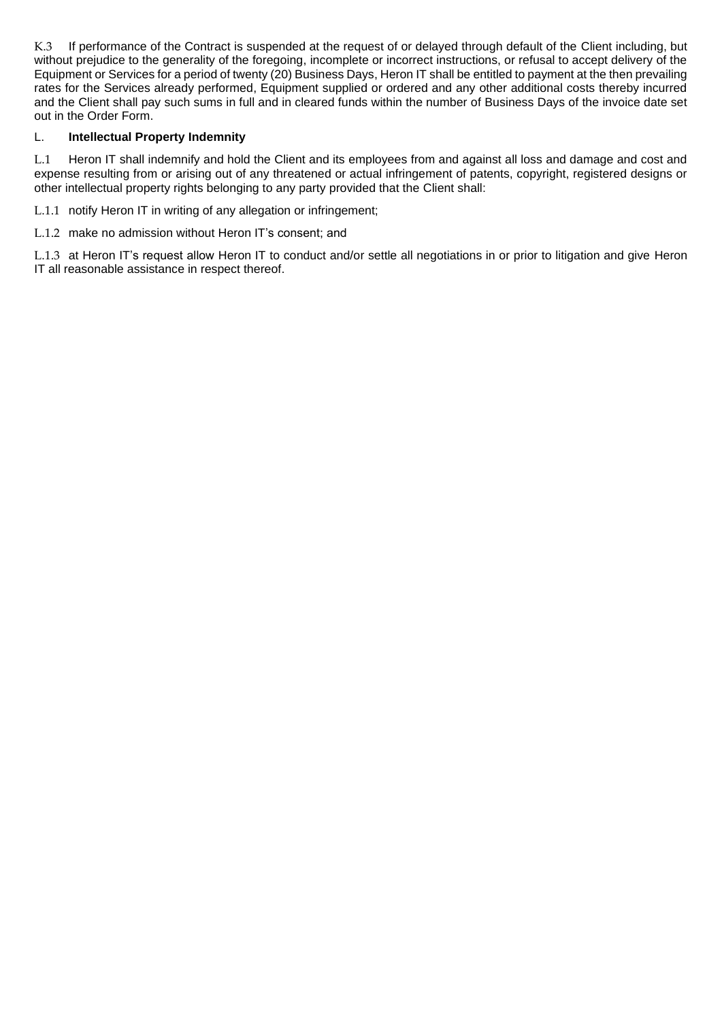K.3 If performance of the Contract is suspended at the request of or delayed through default of the Client including, but without prejudice to the generality of the foregoing, incomplete or incorrect instructions, or refusal to accept delivery of the Equipment or Services for a period of twenty (20) Business Days, Heron IT shall be entitled to payment at the then prevailing rates for the Services already performed, Equipment supplied or ordered and any other additional costs thereby incurred and the Client shall pay such sums in full and in cleared funds within the number of Business Days of the invoice date set out in the Order Form.

#### L. **Intellectual Property Indemnity**

L.1 Heron IT shall indemnify and hold the Client and its employees from and against all loss and damage and cost and expense resulting from or arising out of any threatened or actual infringement of patents, copyright, registered designs or other intellectual property rights belonging to any party provided that the Client shall:

L.1.1 notify Heron IT in writing of any allegation or infringement;

L.1.2 make no admission without Heron IT's consent; and

L.1.3 at Heron IT's request allow Heron IT to conduct and/or settle all negotiations in or prior to litigation and give Heron IT all reasonable assistance in respect thereof.